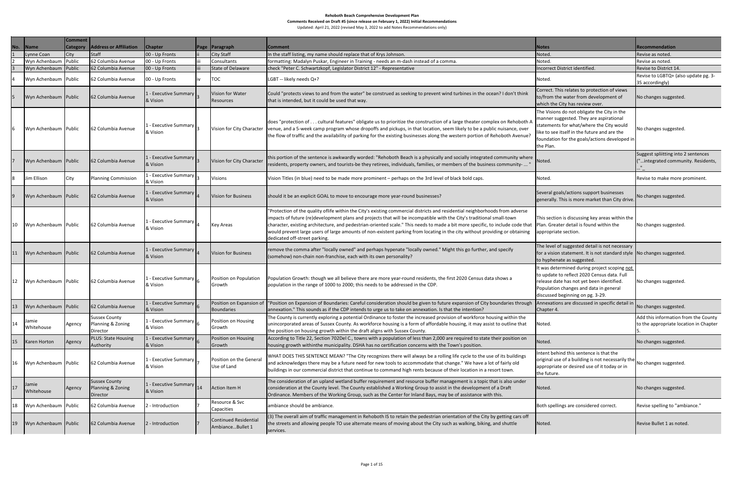|                |                        | <b>Comment</b>  |                                                       |                                            |                                           |                                                                                                                                                                                                                                                                                                                                                                                                                                                                                                                                                                                                  |                                                                                                                                                                                                                                                 |                                                                                |
|----------------|------------------------|-----------------|-------------------------------------------------------|--------------------------------------------|-------------------------------------------|--------------------------------------------------------------------------------------------------------------------------------------------------------------------------------------------------------------------------------------------------------------------------------------------------------------------------------------------------------------------------------------------------------------------------------------------------------------------------------------------------------------------------------------------------------------------------------------------------|-------------------------------------------------------------------------------------------------------------------------------------------------------------------------------------------------------------------------------------------------|--------------------------------------------------------------------------------|
| ٧o.            | <b>Name</b>            | <b>Category</b> | <b>Address or Affiliation</b>                         | <b>Chapter</b>                             | Page   Paragraph                          | <b>Comment</b>                                                                                                                                                                                                                                                                                                                                                                                                                                                                                                                                                                                   | <b>Notes</b>                                                                                                                                                                                                                                    | Recommendation                                                                 |
|                | Lynne Coan             | City            | Staff                                                 | 00 - Up Fronts                             | City Staff                                | In the staff listing, my name should replace that of Krys Johnson.                                                                                                                                                                                                                                                                                                                                                                                                                                                                                                                               | Noted.                                                                                                                                                                                                                                          | Revise as noted.                                                               |
|                | Wyn Achenbaum          | Public          | 62 Columbia Avenue                                    | 00 - Up Fronts                             | Consultants                               | formatting: Madalyn Puskar, Engineer in Training - needs an m-dash instead of a comma.                                                                                                                                                                                                                                                                                                                                                                                                                                                                                                           | Noted.                                                                                                                                                                                                                                          | Revise as noted.                                                               |
|                | Wyn Achenbaum          | Public          | 62 Columbia Avenue                                    | $ 00 - Up$ Fronts                          | State of Delaware                         | check "Peter C. Schwartzkopf, Legislator District 12" - Representative                                                                                                                                                                                                                                                                                                                                                                                                                                                                                                                           | Incorrect District identified                                                                                                                                                                                                                   | Revise to District 14.                                                         |
|                |                        |                 |                                                       |                                            |                                           |                                                                                                                                                                                                                                                                                                                                                                                                                                                                                                                                                                                                  |                                                                                                                                                                                                                                                 | Revise to LGBTQ+ (also update pg. 3-                                           |
|                | Wyn Achenbaum Public   |                 | 62 Columbia Avenue                                    | $ 00 - Up$ Fronts                          | <b>TOC</b>                                | LGBT -- likely needs Q+?                                                                                                                                                                                                                                                                                                                                                                                                                                                                                                                                                                         | Noted.                                                                                                                                                                                                                                          | 35 accordingly)                                                                |
|                | Wyn Achenbaum Public   |                 | 62 Columbia Avenue                                    | - Executive Summary  <br>& Vision          | Vision for Water<br>Resources             | Could "protects views to and from the water" be construed as seeking to prevent wind turbines in the ocean? I don't think<br>that is intended, but it could be used that way.                                                                                                                                                                                                                                                                                                                                                                                                                    | Correct. This relates to protection of views<br>to/from the water from development of<br>which the City has review over.                                                                                                                        | No changes suggested.                                                          |
|                | Wyn Achenbaum Publio   |                 | 62 Columbia Avenue                                    | - Executive Summary<br>& Vision            | Vision for City Character                 | does "protection of cultural features" obligate us to prioritize the construction of a large theater complex on Rehoboth A<br>venue, and a 5-week camp program whose dropoffs and pickups, in that location, seem likely to be a public nuisance, over<br>the flow of traffic and the availability of parking for the existing businesses along the western portion of Rehoboth Avenue?                                                                                                                                                                                                          | The Visions do not obligate the City in the<br>manner suggested. They are aspirational<br>statements for what/where the City would<br>ike to see itself in the future and are the<br>foundation for the goals/actions developed in<br>the Plan. | No changes suggested.                                                          |
|                | Wyn Achenbaum Public   |                 | 62 Columbia Avenue                                    | - Executive Summary<br>& Vision            | Vision for City Character                 | this portion of the sentence is awkwardly worded: "Rehoboth Beach is a physically and socially integrated community where $ $<br>residents, property owners, and tourists-be they retirees, individuals, families, or members of the business community-  '                                                                                                                                                                                                                                                                                                                                      | Noted.                                                                                                                                                                                                                                          | Suggest spliitting into 2 sentences<br>integrated community. Residents,        |
|                | im Ellison             | <b>City</b>     | <b>Planning Commission</b>                            | - Executive Summary<br>& Vision            | <b>Visions</b>                            | Vision Titles (in blue) need to be made more prominent - perhaps on the 3rd level of black bold caps.                                                                                                                                                                                                                                                                                                                                                                                                                                                                                            | Noted.                                                                                                                                                                                                                                          | Revise to make more prominent.                                                 |
|                | Wyn Achenbaum Public   |                 | 62 Columbia Avenue                                    | - Executive Summary<br><b>&amp; Vision</b> | Vision for Business                       | should it be an explicit GOAL to move to encourage more year-round businesses?                                                                                                                                                                                                                                                                                                                                                                                                                                                                                                                   | Several goals/actions support businesses<br>generally. This is more market than City drive.                                                                                                                                                     | No changes suggested.                                                          |
| 10             | Wyn Achenbaum   Public |                 | 62 Columbia Avenue                                    | - Executive Summary<br>& Vision            | Key Areas                                 | "Protection of the quality oflife within the City's existing commercial districts and residential neighborhoods from adverse<br>impacts of future (re)development plans and projects that will be incompatible with the City's traditional small-town<br>character, existing architecture, and pedestrian-oriented scale." This needs to made a bit more specific, to include code that Plan. Greater detail is found within the<br>would prevent large users of large amounts of non-existent parking from locating in the city without providing or obtaining<br>dedicated off-street parking. | This section is discussing key areas within the<br>appropriate section.                                                                                                                                                                         | No changes suggested.                                                          |
|                | Wyn Achenbaum Public   |                 | 62 Columbia Avenue                                    | - Executive Summary<br>& Vision            | Vision for Business                       | remove the comma after "locally owned" and perhaps hypenate "locally owned." Might this go further, and specify<br>(somehow) non-chain non-franchise, each with its own personality?                                                                                                                                                                                                                                                                                                                                                                                                             | The level of suggested detail is not necessary<br>for a vision statement. It is not standard style   No changes suggested.<br>to hyphenate as suggested.                                                                                        |                                                                                |
| $\overline{2}$ | Wyn Achenbaum Public   |                 | 62 Columbia Avenue                                    | - Executive Summary<br>& Vision            | Position on Population<br><b>Growth</b>   | Population Growth: though we all believe there are more year-round residents, the first 2020 Census data shows a<br>population in the range of 1000 to 2000; this needs to be addressed in the CDP.                                                                                                                                                                                                                                                                                                                                                                                              | t was determined during project scoping not<br>to update to reflect 2020 Census data. Full<br>release date has not yet been identified.<br>Population changes and data in general<br>discussed beginning on pg. 3-29.                           | No changes suggested.                                                          |
| 3              | Wyn Achenbaum Public   |                 | 62 Columbia Avenue                                    | - Executive Summary<br><b>&amp; Vision</b> | Position on Expansion o<br>Boundaries     | "Position on Expansion of Boundaries: Careful consideration should be given to future expansion of City boundaries through<br>annexation." This sounds as if the CDP intends to urge us to take on annexation. Is that the intention?                                                                                                                                                                                                                                                                                                                                                            | Annexations are discussed in specific detail i<br>Chapter 4.                                                                                                                                                                                    | No changes suggested.                                                          |
|                | Jamie<br>Whitehouse    | Agency          | <b>Sussex County</b><br>Planning & Zoning<br>Director | - Executive Summary<br>& Vision            | Position on Housing<br>Growth             | The County is currently exploring a potential Ordinance to foster the increased provision of workforce housing within the<br>unincorporated areas of Sussex County. As workforce housing is a form of affordable housing, it may assist to outline that<br>the position on housing growth within the draft aligns with Sussex County.                                                                                                                                                                                                                                                            | Noted.                                                                                                                                                                                                                                          | Add this information from the County<br>to the appropriate location in Chapter |
|                | Karen Horton           | Agency          | PLUS: State Housing<br>Authority                      | - Executive Summary  <br>& Vision          | Position on Housing<br><b>Growth</b>      | According to Title 22, Section 702Del C., towns with a population of less than 2,000 are required to state their position on<br>housing growth withinthe municipality. DSHA has no certification concerns with the Town's position.                                                                                                                                                                                                                                                                                                                                                              | Noted.                                                                                                                                                                                                                                          | No changes suggested.                                                          |
| 6 <sup>1</sup> | Wyn Achenbaum   Public |                 | 62 Columbia Avenue                                    | - Executive Summary<br>& Vision            | Position on the General<br>Use of Land    | WHAT DOES THIS SENTENCE MEAN? "The City recognizes there will always be a rolling life cycle to the use of its buildings<br>and acknowledges there may be a future need for new tools to accommodate that change." We have a lot of fairly old<br>buildings in our commercial district that continue to command high rents because of their location in a resort town.                                                                                                                                                                                                                           | ntent behind this sentence is that the<br>original use of a building is not necessarily the<br>No changes suggested.<br>appropriate or desired use of it today or in<br>the future.                                                             |                                                                                |
|                | Jamie<br>Whitehouse    | Agency          | <b>Sussex County</b><br>Planning & Zoning<br>Director | - Executive Summary<br><b>&amp; Vision</b> | Action Item H                             | The consideration of an upland wetland buffer requirement and resource buffer management is a topic that is also under<br>consideration at the County level. The County established a Working Group to assist in the development of a Draft<br>Ordinance. Members of the Working Group, such as the Center for Inland Bays, may be of assistance with this.                                                                                                                                                                                                                                      | Noted.                                                                                                                                                                                                                                          | No changes suggested.                                                          |
|                | Wyn Achenbaum   Public |                 | 62 Columbia Avenue                                    | - Introduction                             | Resource & Svc<br>Capacities              | ambiance should be ambiance.                                                                                                                                                                                                                                                                                                                                                                                                                                                                                                                                                                     | Both spellings are considered correct.                                                                                                                                                                                                          | Revise spelling to "ambiance."                                                 |
| 9              | Wyn Achenbaum Public   |                 | 62 Columbia Avenue                                    | - Introduction                             | Continued Residential<br>AmbianceBullet 1 | (3) The overall aim of traffic management in Rehoboth IS to retain the pedestrian orientation of the City by getting cars off<br>the streets and allowing people TO use alternate means of moving about the City such as walking, biking, and shuttle<br>services.                                                                                                                                                                                                                                                                                                                               | Noted.                                                                                                                                                                                                                                          | Revise Bullet 1 as noted.                                                      |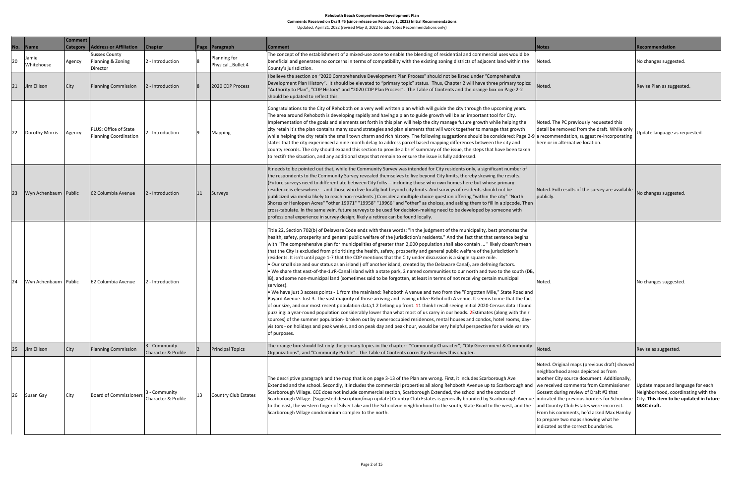**Comments Received on Draft #5 (since release on February 1, 2022) Initial Recommendations**

|           |                             | <b>Comment</b>            |                                                                                        |                                      |                                                           |                                                                                                                                                                                                                                                                                                                                                                                                                                                                                                                                                                                                                                                                                                                                                                                                                                                                                                                                                                                                                                                                                                                                                                                                                                                                                                                                                                                                                                                                                                                                                                                                                                                                                                                                                                                                                                                    |                                                                                                                                                                                                                                                                                                                                                    |                                                                                                                                   |
|-----------|-----------------------------|---------------------------|----------------------------------------------------------------------------------------|--------------------------------------|-----------------------------------------------------------|----------------------------------------------------------------------------------------------------------------------------------------------------------------------------------------------------------------------------------------------------------------------------------------------------------------------------------------------------------------------------------------------------------------------------------------------------------------------------------------------------------------------------------------------------------------------------------------------------------------------------------------------------------------------------------------------------------------------------------------------------------------------------------------------------------------------------------------------------------------------------------------------------------------------------------------------------------------------------------------------------------------------------------------------------------------------------------------------------------------------------------------------------------------------------------------------------------------------------------------------------------------------------------------------------------------------------------------------------------------------------------------------------------------------------------------------------------------------------------------------------------------------------------------------------------------------------------------------------------------------------------------------------------------------------------------------------------------------------------------------------------------------------------------------------------------------------------------------------|----------------------------------------------------------------------------------------------------------------------------------------------------------------------------------------------------------------------------------------------------------------------------------------------------------------------------------------------------|-----------------------------------------------------------------------------------------------------------------------------------|
| No.<br>20 | Name<br>Jamie<br>Whitehouse | <b>Category</b><br>Agency | <b>Address or Affiliation</b><br><b>Sussex County</b><br>Planning & Zoning<br>Director | <b>Chapter</b><br>2 - Introduction   | <b>Page Paragraph</b><br>Planning for<br>PhysicalBullet 4 | <b>Comment</b><br>The concept of the establishment of a mixed-use zone to enable the blending of residential and commercial uses would be<br>beneficial and generates no concerns in terms of compatibility with the existing zoning districts of adjacent land within the<br>County's jurisdiction.                                                                                                                                                                                                                                                                                                                                                                                                                                                                                                                                                                                                                                                                                                                                                                                                                                                                                                                                                                                                                                                                                                                                                                                                                                                                                                                                                                                                                                                                                                                                               | <b>Notes</b><br>Noted.                                                                                                                                                                                                                                                                                                                             | Recommendation<br>No changes suggested.                                                                                           |
| 21        | Jim Ellison                 | <b>City</b>               | Planning Commission                                                                    | 2 - Introduction                     | 2020 CDP Process                                          | I believe the section on "2020 Comprehensive Development Plan Process" should not be listed under "Comprehensive<br>Development Plan History". It should be elevated to "primary topic" status. Thus, Chapter 2 will have three primary topics:<br>"Authority to Plan", "CDP History" and "2020 CDP Plan Process". The Table of Contents and the orange box on Page 2-2<br>should be updated to reflect this.                                                                                                                                                                                                                                                                                                                                                                                                                                                                                                                                                                                                                                                                                                                                                                                                                                                                                                                                                                                                                                                                                                                                                                                                                                                                                                                                                                                                                                      | Noted                                                                                                                                                                                                                                                                                                                                              | Revise Plan as suggested.                                                                                                         |
| 22        | Dorothy Morris              | Agency                    | PLUS: Office of State<br>Planning Coordination                                         | 2 - Introduction                     | Mapping                                                   | Congratulations to the City of Rehoboth on a very well written plan which will guide the city through the upcoming years.<br>The area around Rehoboth is developing rapidly and having a plan to guide growth will be an important tool for City.<br>Implementation of the goals and elements set forth in this plan will help the city manage future growth while helping the<br>city retain it's the plan contains many sound strategies and plan elements that will work together to manage that growth<br>while helping the city retain the small town charm and rich history. The following suggestions should be considered: Page 2-9 a recommendation, suggest re-incorporating<br>states that the city experienced a nine month delay to address parcel based mapping differences between the city and<br>county records. The city should expand this section to provide a brief summary of the issue, the steps that have been taken<br>to rectifr the situation, and any additional steps that remain to ensure the issue is fully addressed.                                                                                                                                                                                                                                                                                                                                                                                                                                                                                                                                                                                                                                                                                                                                                                                            | Noted. The PC previously requested this<br>detail be removed from the draft. While only<br>here or in alternative location.                                                                                                                                                                                                                        | Update language as requested.                                                                                                     |
| 23        | Wyn Achenbaum   Public      |                           | 62 Columbia Avenue                                                                     | 2 - Introduction                     | Surveys                                                   | It needs to be pointed out that, while the Community Survey was intended for City residents only, a significant number of<br>the respondents to the Community Survey revealed themselves to live beyond City limits, thereby skewing the results.<br>(Future surveys need to differentiate between City folks -- including those who own homes here but whose primary<br>residence is elesewhere -- and those who live locally but beyond city limits. And surveys of residents should not be<br>publicized via media likely to reach non-residents.) Consider a multiple choice question offering "within the city" "North<br>Shores or Henlopen Acres" "other 19971" "19958" "19966" and "other" as choices, and asking them to fill in a zipcode. Then<br>cross-tabulate. In the same vein, future surveys to be used for decision-making need to be developed by someone with<br>professional experience in survey design; likely a retiree can be found locally.                                                                                                                                                                                                                                                                                                                                                                                                                                                                                                                                                                                                                                                                                                                                                                                                                                                                              | Noted. Full results of the survey are available<br>publicly.                                                                                                                                                                                                                                                                                       | No changes suggested.                                                                                                             |
|           | Wyn Achenbaum   Public      |                           | 62 Columbia Avenue                                                                     | ! - Introduction                     |                                                           | Title 22, Section 702(b) of Delaware Code ends with these words: "in the judgment of the municipality, best promotes the<br>health, safety, prosperity and general public welfare of the jurisdiction's residents." And the fact that that sentence begins<br>with "The comprehensive plan for municipalities of greater than 2,000 population shall also contain  " likely doesn't mean<br>that the City is excluded from prioritizing the health, safety, prosperity and general public welfare of the jurisdiction's<br>residents. It isn't until page 1-7 that the CDP mentions that the City under discussion is a single square mile.<br>. Our small size and our status as an island (off another island, created by the Delaware Canal), are defming factors.<br>• We share that east-of-the-1.rR-Canal island with a state park, 2 named communities to our north and two to the south (DB,<br>IB), and some non-municipal land (sometimes said to be forgotten, at least in terms of not receiving certain municipal<br>services).<br>• We have just 3 access points - 1 from the mainland: Rehoboth A venue and two from the "Forgotten Mile," State Road and<br>Bayard Avenue. Just 3. The vast majority of those arriving and leaving utilize Rehoboth A venue. It seems to me that the fact<br>of our size, and our most recent population data,1 2 belong up front. 11 think I recall seeing initial 2020 Census data I found<br>puzzling: a year-round population considerably lower than what most of us carry in our heads. 2Estimates (along with their<br>sources) of the summer population- broken out by owneroccupied residences, rental houses and condos, hotel rooms, day-<br>visitors - on holidays and peak weeks, and on peak day and peak hour, would be very helpful perspective for a wide variety<br>of purposes. | Noted                                                                                                                                                                                                                                                                                                                                              | No changes suggested.                                                                                                             |
| 25        | Jim Ellison                 | City                      | Planning Commission                                                                    | 3 - Community<br>Character & Profile | <b>Principal Topics</b>                                   | The orange box should list only the primary topics in the chapter: "Community Character", "City Government & Community Noted.<br>Organizations", and "Community Profile". The Table of Contents correctly describes this chapter.                                                                                                                                                                                                                                                                                                                                                                                                                                                                                                                                                                                                                                                                                                                                                                                                                                                                                                                                                                                                                                                                                                                                                                                                                                                                                                                                                                                                                                                                                                                                                                                                                  |                                                                                                                                                                                                                                                                                                                                                    | Revise as suggested.                                                                                                              |
| 26        | Susan Gay                   | City                      | <b>Board of Commissioners</b>                                                          | 3 - Community<br>Character & Profile | Country Club Estates                                      | The descriptive paragraph and the map that is on page 3-13 of the Plan are wrong. First, it includes Scarborough Ave<br>Extended and the school. Secondly, it includes the commercial properties all along Rehoboth Avenue up to Scarborough and  we received comments from Commissioner<br>Scarborough Village. CCE does not include commercial section, Scarborough Extended, the school and the condos of<br>Scarborough Village. [Suggested description/map update] Country Club Estates is generally bounded by Scarborough Avenue  indicated the previous borders for Schoolvue<br>to the east, the western finger of Silver Lake and the Schoolvue neighborhood to the south, State Road to the west, and the<br>Scarborough Village condominium complex to the north.                                                                                                                                                                                                                                                                                                                                                                                                                                                                                                                                                                                                                                                                                                                                                                                                                                                                                                                                                                                                                                                                      | Noted. Original maps (previous draft) showed<br>neighborhood areas depicted as from<br>another City source document. Additionally,<br>Gossett during review of Draft #3 that<br>and Country Club Estates were incorrect.<br>From his comments, he'd asked Max Hamby<br>to prepare two maps showing what he<br>indicated as the correct boundaries. | Update maps and language for each<br>Neighborhood, coordinating with the<br>City. This item to be updated in future<br>M&C draft. |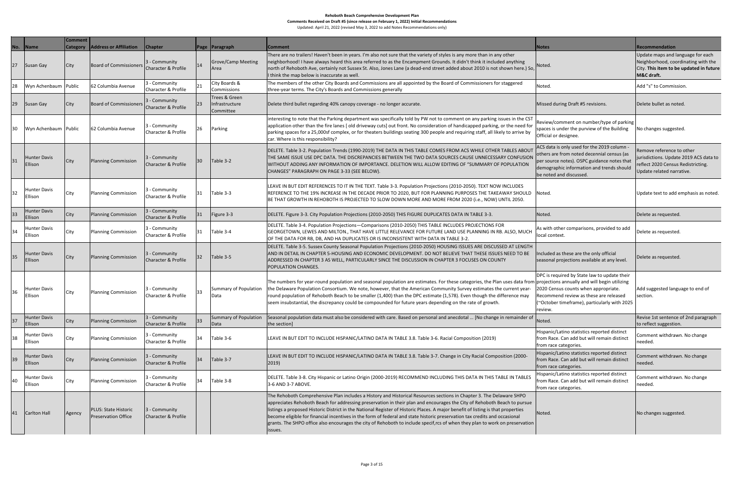**Comments Received on Draft #5 (since release on February 1, 2022) Initial Recommendations**

| ٧o. | Name                                  | <b>Comment</b><br><b>Category</b> | <b>Address or Affiliation</b>                             | <b>Chapter</b>                                  |     | <b>Page Paragraph</b>                        | <b>Comment</b>                                                                                                                                                                                                                                                                                                                                                                                                                                                                                                                                                                                                                                                  | <b>Notes</b>                                                                                                                                                                                                     | Recommendation                                                                                                                         |
|-----|---------------------------------------|-----------------------------------|-----------------------------------------------------------|-------------------------------------------------|-----|----------------------------------------------|-----------------------------------------------------------------------------------------------------------------------------------------------------------------------------------------------------------------------------------------------------------------------------------------------------------------------------------------------------------------------------------------------------------------------------------------------------------------------------------------------------------------------------------------------------------------------------------------------------------------------------------------------------------------|------------------------------------------------------------------------------------------------------------------------------------------------------------------------------------------------------------------|----------------------------------------------------------------------------------------------------------------------------------------|
|     | Susan Gay                             | City                              | <b>Board of Commissioners</b>                             | 3 - Community<br>Character & Profile            | 14  | <b>Grove/Camp Meeting</b><br>Area            | There are no trailers! Haven't been in years. I'm also not sure that the variety of styles is any more than in any other<br>neighborhood! I have always heard this area referred to as the Encampment Grounds. It didn't think it included anything<br>north of Rehoboth Ave, certainly not Sussex St. Also, Jones Lane (a dead-end street added about 2010 is not shown here.) So<br>I think the map below is inaccurate as well.                                                                                                                                                                                                                              | Noted.                                                                                                                                                                                                           | Update maps and language for each<br>Neighborhood, coordinating with the<br>City. This item to be updated in future<br>M&C draft.      |
|     | Wyn Achenbaum   Public                |                                   | 62 Columbia Avenue                                        | 3 - Community<br>Character & Profile            |     | City Boards &<br>Commissions                 | The members of the other City Boards and Commissions are all appointed by the Board of Commissioners for staggered<br>three-year terms. The City's Boards and Commissions generally                                                                                                                                                                                                                                                                                                                                                                                                                                                                             | Noted.                                                                                                                                                                                                           | Add "s" to Commission.                                                                                                                 |
| 0ç  | Susan Gay                             | <b>City</b>                       | <b>Board of Commissioners</b>                             | - Community<br>haracter & Profile               |     | Trees & Green<br>Infrastructure<br>Committee | Delete third bullet regarding 40% canopy coverage - no longer accurate.                                                                                                                                                                                                                                                                                                                                                                                                                                                                                                                                                                                         | Missed during Draft #5 revisions.                                                                                                                                                                                | Delete bullet as noted.                                                                                                                |
|     | Wyn Achenbaum Public                  |                                   | 62 Columbia Avenue                                        | 3 - Community<br>Character & Profile            |     | Parking                                      | interesting to note that the Parking department was specifically told by PW not to comment on any parking issues in the CST<br>application other than the fire lanes [old driveway cuts] out front. No consideration of handicapped parking, or the need for<br>parking spaces for a 25,000sf complex, or for theaters buildings seating 300 people and requiring staff, all likely to arrive by<br>car. Where is this responsibility?                                                                                                                                                                                                                          | Review/comment on number/type of parking<br>spaces is under the purview of the Building<br>Official or designee.                                                                                                 | No changes suggested.                                                                                                                  |
|     | <b>Hunter Davis</b><br><b>Ellison</b> | City                              | Planning Commission                                       | 3 - Community<br><b>Character &amp; Profile</b> | 130 | Table 3-2                                    | DELETE. Table 3-2. Population Trends (1990-2019) THE DATA IN THIS TABLE COMES FROM ACS WHILE OTHER TABLES ABOUT<br>THE SAME ISSUE USE DPC DATA. THE DISCREPANCIES BETWEEN THE TWO DATA SOURCES CAUSE UNNECESSARY CONFUSION<br>WITHOUT ADDING ANY INFORMATION OF IMPORTANCE. DELETION WILL ALLOW EDITING OF "SUMMARY OF POPULATION<br>CHANGES" PARAGRAPH ON PAGE 3-33 (SEE BELOW).                                                                                                                                                                                                                                                                               | ACS data is only used for the 2019 column -<br>others are from noted decennial census (as<br>per source notes). OSPC guidance notes that<br>demographic information and trends should<br>be noted and discussed. | Remove reference to other<br>jurisdictions. Update 2019 ACS data to<br>reflect 2020 Census Redistricting.<br>Update related narrative. |
|     | <b>Hunter Davis</b><br><b>Ellison</b> | City                              | <b>Planning Commission</b>                                | 3 - Community<br>Character & Profile            |     | Table 3-3                                    | LEAVE IN BUT EDIT REFERENCES TO IT IN THE TEXT. Table 3-3. Population Projections (2010-2050). TEXT NOW INCLUDES<br>REFERENCE TO THE 19% INCREASE IN THE DECADE PRIOR TO 2020, BUT FOR PLANNING PURPOSES THE TAKEAWAY SHOULD Noted.<br>BE THAT GROWTH IN REHOBOTH IS PROJECTED TO SLOW DOWN MORE AND MORE FROM 2020 (i.e., NOW) UNTIL 2050.                                                                                                                                                                                                                                                                                                                     |                                                                                                                                                                                                                  | Update text to add emphasis as noted                                                                                                   |
|     | <b>Hunter Davis</b><br><b>Ellison</b> | <b>City</b>                       | <b>Planning Commission</b>                                | 3 - Community<br>Character & Profile            | I3: | Figure 3-3                                   | DELETE. Figure 3-3. City Population Projections (2010-2050) THIS FIGURE DUPLICATES DATA IN TABLE 3-3.                                                                                                                                                                                                                                                                                                                                                                                                                                                                                                                                                           | Noted.                                                                                                                                                                                                           | Delete as requested.                                                                                                                   |
|     | <b>Hunter Davis</b><br>Ellison        | City                              | <b>Planning Commission</b>                                | 3 - Community<br>Character & Profile            | I31 | able 3-4                                     | DELETE. Table 3-4. Population Projections—Comparisons (2010-2050) THIS TABLE INCLUDES PROJECTIONS FOR<br>GEORGETOWN, LEWES AND MILTON., THAT HAVE LITTLE RELEVANCE FOR FUTURE LAND USE PLANNING IN RB. ALSO, MUCH<br>OF THE DATA FOR RB, DB, AND HA DUPLICATES OR IS INCONSISTENT WITH DATA IN TABLE 3-2.                                                                                                                                                                                                                                                                                                                                                       | As with other comparisons, provided to add<br>local context.                                                                                                                                                     | Delete as requested.                                                                                                                   |
|     | <b>Hunter Davis</b><br><b>Ellison</b> | City                              | Planning Commission                                       | 3 - Community<br>Character & Profile            | 32  | Table 3-5                                    | DELETE. Table 3-5. Sussex County Seasonal Population Projections (2010-2050) HOUSING ISSUES ARE DISCUSSED AT LENGTH<br>AND IN DETAIL IN CHAPTER 5-HOUSING AND ECONOMIC DEVELOPMENT. DO NOT BELIEVE THAT THESE ISSUES NEED TO BE<br>ADDRESSED IN CHAPTER 3 AS WELL, PARTICULARLY SINCE THE DISCUSSION IN CHAPTER 3 FOCUSES ON COUNTY<br><b>POPULATION CHANGES.</b>                                                                                                                                                                                                                                                                                               | ncluded as these are the only official<br>seasonal projections available at any level.                                                                                                                           | Delete as requested.                                                                                                                   |
|     | Hunter Davis<br>Ellison               | City                              | <b>Planning Commission</b>                                | 3 - Community<br>Character & Profile            |     | Summary of Population<br>Data                | The numbers for year-round population and seasonal population are estimates. For these categories, the Plan uses data from projections annually and will begin utilizing<br>the Delaware Population Consortium. We note, however, that the American Community Survey estimates the current year-<br>round population of Rehoboth Beach to be smaller (1,400) than the DPC estimate (1,578). Even though the difference may<br>seem insubstantial, the discrepancy could be compounded for future years depending on the rate of growth.                                                                                                                         | DPC is required by State law to update their<br>2020 Census counts when appropriate.<br>Recommend review as these are released<br>(~October timeframe), particularly with 2025<br>review.                        | Add suggested language to end of<br>section.                                                                                           |
|     | <b>Hunter Davis</b><br><b>Ellison</b> | City                              | <b>Planning Commission</b>                                | - Community<br>Character & Profile              | 33  | Summary of Population<br>Data                | Seasonal population data must also be considered with care. Based on personal and anecdotal  [No change in remainder of<br>the section]                                                                                                                                                                                                                                                                                                                                                                                                                                                                                                                         | Noted.                                                                                                                                                                                                           | Revise 1st sentence of 2nd paragraph<br>to reflect suggestion.                                                                         |
|     | Hunter Davis<br>Ellison               | City                              | <b>Planning Commission</b>                                | 3 - Community<br>Character & Profile            |     | Table 3-6                                    | LEAVE IN BUT EDIT TO INCLUDE HISPANIC/LATINO DATA IN TABLE 3.8. Table 3-6. Racial Composition (2019)                                                                                                                                                                                                                                                                                                                                                                                                                                                                                                                                                            | Hispanic/Latino statistics reported distinct<br>from Race. Can add but will remain distinct<br>from race categories.                                                                                             | Comment withdrawn. No change<br>needed.                                                                                                |
|     | <b>Hunter Davis</b><br><b>Ellison</b> | City                              | <b>Planning Commission</b>                                | - Community<br><b>Character &amp; Profile</b>   | 134 | Table 3-7                                    | LEAVE IN BUT EDIT TO INCLUDE HISPANIC/LATINO DATA IN TABLE 3.8. Table 3-7. Change in City Racial Composition (2000-<br>$ 2019\rangle$                                                                                                                                                                                                                                                                                                                                                                                                                                                                                                                           | Hispanic/Latino statistics reported distinct<br>from Race. Can add but will remain distinct<br>from race categories.                                                                                             | Comment withdrawn. No change<br>needed.                                                                                                |
|     | <b>Hunter Davis</b><br>Ellison        | City                              | <b>Planning Commission</b>                                | 3 - Community<br>Character & Profile            |     | Table 3-8                                    | DELETE. Table 3-8. City Hispanic or Latino Origin (2000-2019) RECOMMEND INCLUDING THIS DATA IN THIS TABLE IN TABLES<br>3-6 AND 3-7 ABOVE.                                                                                                                                                                                                                                                                                                                                                                                                                                                                                                                       | Hispanic/Latino statistics reported distinct<br>from Race. Can add but will remain distinct<br>from race categories.                                                                                             | Comment withdrawn. No change<br>needed.                                                                                                |
|     | Carlton Hall                          | Agency                            | <b>PLUS: State Historic</b><br><b>Preservation Office</b> | 3 - Community<br>Character & Profile            |     |                                              | The Rehoboth Comprehensive Plan includes a History and Historical Resources sections in Chapter 3. The Delaware SHPO<br>appreciates Rehoboth Beach for addressing preservation in their plan and encourages the City of Rehoboth Beach to pursue<br>listings a proposed Historic District in the National Register of Historic Places. A major benefit of listing is that properties<br>become eligible for financial incentives in the form of federal and state historic preservation tax credits and occasional<br>grants. The SHPO office also encourages the city of Rehoboth to include specif, rcs of when they plan to work on preservation<br>lissues. | Noted.                                                                                                                                                                                                           | No changes suggested.                                                                                                                  |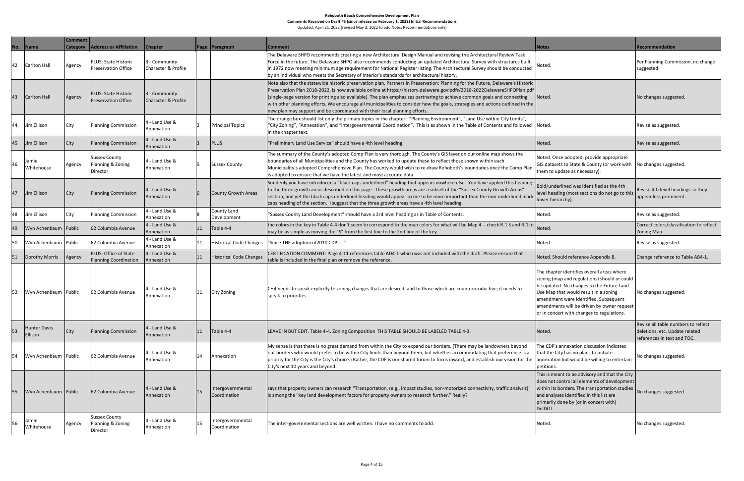**Comments Received on Draft #5 (since release on February 1, 2022) Initial Recommendations**

|     |                                | <b>Comment</b>  |                                                           |                                      |    |                                   |                                                                                                                                                                                                                                                                                                                                                                                                                                                                                                                                                                                                        |                                                                                                                                                                                                                                                                                                                       |                                                                                                      |
|-----|--------------------------------|-----------------|-----------------------------------------------------------|--------------------------------------|----|-----------------------------------|--------------------------------------------------------------------------------------------------------------------------------------------------------------------------------------------------------------------------------------------------------------------------------------------------------------------------------------------------------------------------------------------------------------------------------------------------------------------------------------------------------------------------------------------------------------------------------------------------------|-----------------------------------------------------------------------------------------------------------------------------------------------------------------------------------------------------------------------------------------------------------------------------------------------------------------------|------------------------------------------------------------------------------------------------------|
| No. | <b>Name</b>                    | <b>Category</b> | <b>Address or Affiliation</b>                             | <b>Chapter</b>                       |    | Page   Paragraph                  | <b>Comment</b>                                                                                                                                                                                                                                                                                                                                                                                                                                                                                                                                                                                         | <b>Notes</b>                                                                                                                                                                                                                                                                                                          | Recommendation                                                                                       |
| 42  | Carlton Hall                   | Agency          | <b>PLUS: State Historic</b><br><b>Preservation Office</b> | 3 - Community<br>Character & Profile |    |                                   | The Delaware SHPO recommends creating a new Architectural Design Manual and revising the Architectural Review Task<br>Force in the future. The Delaware SHPO also recommends conducting an updated Architectural Survey with structures built<br>in 1972 now meeting minimum age requirement for National Register listing. The Architectural Survey should be conducted<br>by an individual who meets the Secretary of Interior's standards for architectural history.                                                                                                                                | Noted.                                                                                                                                                                                                                                                                                                                | Per Planning Commission, no change<br>suggested.                                                     |
| 43  | Carlton Hall                   | Agency          | <b>PLUS: State Historic</b><br><b>Preservation Office</b> | - Community<br>Character & Profile   |    |                                   | Note also that the statewide historic preservation plan, Partners in Preservation: Planning for the Future, Delaware's Historic<br>Preservation Plan 2018-2022, is now available online at https://history.delaware.govipdfs/2018-2022DelawareSHPOPlan.pdf<br>(single-page version for printing also available). The plan emphasizes partnering to achieve common goals and connecting<br>with other planning efforts. We encourage all municipalities to consider how the goals, strategies and actions outlined in the<br>new plan may support and be coordinated with their local planning efforts. | Noted.                                                                                                                                                                                                                                                                                                                | No changes suggested.                                                                                |
|     | Jim Ellison                    | City            | <b>Planning Commission</b>                                | - Land Use &<br>Annexation           |    | <b>Principal Topics</b>           | The orange box should list only the primary topics in the chapter: "Planning Environment", "Land Use within City Limits",<br>"City Zoning", "Annexation", and "Intergovernmental Coordination". This is as shown in the Table of Contents and followed $\,$ Noted.<br>in the chapter text.                                                                                                                                                                                                                                                                                                             |                                                                                                                                                                                                                                                                                                                       | Revise as suggested.                                                                                 |
| 45  | Jim Ellison                    | City            | <b>Planning Commission</b>                                | 4 - Land Use &<br>Annexation         |    | <b>PLUS</b>                       | "Preliminary Land Use Service" should have a 4th level heading.                                                                                                                                                                                                                                                                                                                                                                                                                                                                                                                                        | Noted.                                                                                                                                                                                                                                                                                                                | Revise as suggested.                                                                                 |
| 46  | Jamie<br>Whitehouse            | Agency          | <b>Sussex County</b><br>Planning & Zoning<br>Director     | 4 - Land Use &<br>Annexation         |    | Sussex County                     | The summary of the County's adopted Comp Plan is very thorough. The County's GIS layer on our online map shows the<br>boundaries of all Municipalities and the County has worked to update these to reflect those shown within each<br>Municipality's adopted Comprehensive Plan. The County would wish to re-draw Rehoboth's boundaries once the Comp Plan<br>is adopted to ensure that we have the latest and most accurate data.                                                                                                                                                                    | Noted. Once adopted, provide appropriate<br>GIS datasets to State & County (or work with   No changes suggested.<br>them to update as necessary).                                                                                                                                                                     |                                                                                                      |
| 47  | Jim Ellison                    | <b>City</b>     | <b>Planning Commission</b>                                | - Land Use &<br>Annexation           |    | County Growth Areas               | Suddenly you have introduced a "black caps underlined" heading that appears nowhere else. You have applied this heading<br>to the three growth areas described on this page. These growth areas are a subset of the "Sussex County Growth Areas"<br>section, and yet the black caps underlined heading would appear to me to be more important than the non-underlined black<br>caps heading of the section. I suggest that the three growth areas have a 4th level heading.                                                                                                                           | Bold/underlined was identified as the 4th<br>level heading (most sections do not go to this<br>lower hierarchy).                                                                                                                                                                                                      | Revise 4th level headings so they<br>appear less prominent.                                          |
| 48  | Jim Ellison                    | City            | <b>Planning Commission</b>                                | 4 - Land Use &<br>Annexation         |    | County Land<br>Development        | "Sussex County Land Development" should have a 3rd level heading as in Table of Contents.                                                                                                                                                                                                                                                                                                                                                                                                                                                                                                              | Noted.                                                                                                                                                                                                                                                                                                                | Revise as suggested.                                                                                 |
| 49  | Wyn Achenbaum Public           |                 | 62 Columbia Avenue                                        | - Land Use &<br>Annexation           |    | Table 4-4                         | the colors in the key in Table 4-4 don't seem to correspond to the map colors for what will be Map 4 -- check R-1 S and R-1; it Noted.<br>may be as simple as moving the "S" from the first line to the 2nd line of the key.                                                                                                                                                                                                                                                                                                                                                                           |                                                                                                                                                                                                                                                                                                                       | Correct colors/classification to reflect<br>Zoning Map.                                              |
| 50. | Wyn Achenbaum Public           |                 | 62 Columbia Avenue                                        | 4 - Land Use &<br>Annexation         |    | <b>Historical Code Changes</b>    | "Since THE adoption of 2010 CDP "                                                                                                                                                                                                                                                                                                                                                                                                                                                                                                                                                                      | Noted.                                                                                                                                                                                                                                                                                                                | Revise as suggested.                                                                                 |
|     | Dorothy Morris                 | Agency          | PLUS: Office of State<br><b>Planning Coordination</b>     | - Land Use &<br>Annexation           |    | Historical Code Changes           | CERTIFICATION COMMENT: Page 4-11 references table AD4-1 which was not included with the draft. Please ensure that<br>table is included in the final plan or remove the reference.                                                                                                                                                                                                                                                                                                                                                                                                                      | Noted. Should reference Appendix B.                                                                                                                                                                                                                                                                                   | Change reference to Table AB4-1.                                                                     |
| 52  | Wyn Achenbaum Public           |                 | 62 Columbia Avenue                                        | - Land Use &<br>Annexation           |    | City Zoning                       | CH4 needs to speak explicitly to zoning changes that are desired, and to those which are counterproductive; it needs to<br>speak to priorities.                                                                                                                                                                                                                                                                                                                                                                                                                                                        | The chapter identifies overall areas where<br>zoning (map and regulations) should or could<br>be updated. No changes to the Future Land<br>Use Map that would result in a zoning<br>amendment were identified. Subsequent<br>amendments will be driven by owner request<br>or in concert with changes to regulations. | No changes suggested.                                                                                |
| 53  | Hunter Davis<br><b>Ellison</b> | <b>City</b>     | <b>Planning Commission</b>                                | - Land Use &<br>Annexation           |    | Table 4-4                         | LEAVE IN BUT EDIT. Table 4-4. Zoning Composition THIS TABLE SHOULD BE LABELED TABLE 4-3.                                                                                                                                                                                                                                                                                                                                                                                                                                                                                                               | Noted.                                                                                                                                                                                                                                                                                                                | Revise all table numbers to reflect<br>deletions, etc. Update related<br>references in text and TOC. |
|     | Wyn Achenbaum Public           |                 | 62 Columbia Avenue                                        | - Land Use &<br>Annexation           | 14 | Annexation                        | My sense is that there is no great demand from within the City to expand our borders. (There may be landowners beyond<br>our borders who would prefer to be within City limits than beyond them, but whether accommodating that preference is a<br>priority for the City is the City's choice.) Rather, the CDP is our shared forum to focus inward, and establish our vision for the<br>City's next 10 years and beyond.                                                                                                                                                                              | The CDP's annexation discussion indicates<br>that the City has no plans to initiate<br>annexation but would be willing to entertain<br>petitions.                                                                                                                                                                     | No changes suggested.                                                                                |
| 55  | Wyn Achenbaum Public           |                 | 62 Columbia Avenue                                        | 4 - Land Use &<br>Annexation         |    | Intergovernmental<br>Coordination | says that property owners can research "Transportation, (e.g., impact studies, non-motorized connectivity, traffic analysis)"<br>is among the "key land development factors for property owners to research further." Really?                                                                                                                                                                                                                                                                                                                                                                          | This is meant to be advisory and that the City<br>does not control all elements of development<br>within its borders. The transportation studies $\bigg $ No changes suggested.<br>and analyses identified in this list are<br>primarily done by (or in concert with)<br>DelDOT.                                      |                                                                                                      |
| 56  | Whitehouse                     | Agency          | <b>Sussex County</b><br>Planning & Zoning<br>Director     | - Land Use &<br>Annexation           |    | Intergovernmental<br>Coordination | The inter-governmental sections are well written. I have no comments to add.                                                                                                                                                                                                                                                                                                                                                                                                                                                                                                                           | Noted.                                                                                                                                                                                                                                                                                                                | No changes suggested.                                                                                |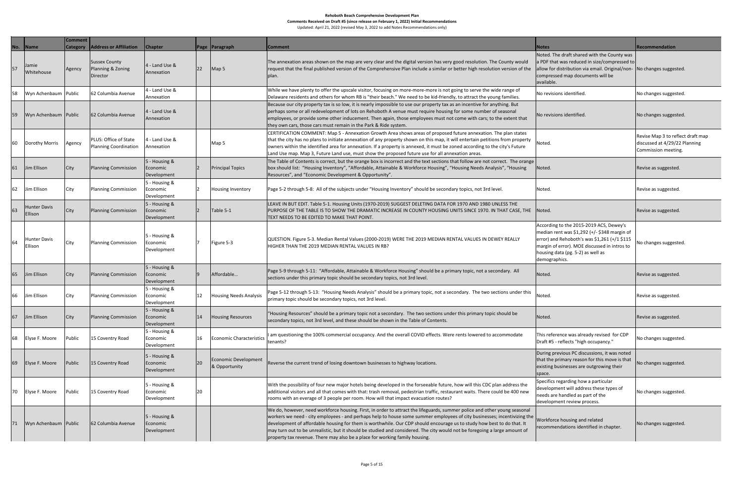**Comments Received on Draft #5 (since release on February 1, 2022) Initial Recommendations**

|      | No. Name                       | <b>Comment</b><br><b>Category</b> | <b>Address or Affiliation</b>                  | <b>Chapter</b>                                |    | Page   Paragraph                             | Comment                                                                                                                                                                                                                                                                                                                                                                                                                                                                                                                                                                                       | <b>Notes</b>                                                                                                                                                                                                                                       | <b>Recommendation</b>                                                                     |
|------|--------------------------------|-----------------------------------|------------------------------------------------|-----------------------------------------------|----|----------------------------------------------|-----------------------------------------------------------------------------------------------------------------------------------------------------------------------------------------------------------------------------------------------------------------------------------------------------------------------------------------------------------------------------------------------------------------------------------------------------------------------------------------------------------------------------------------------------------------------------------------------|----------------------------------------------------------------------------------------------------------------------------------------------------------------------------------------------------------------------------------------------------|-------------------------------------------------------------------------------------------|
|      | Jamie<br>Whitehouse            | Agency                            | Sussex County<br>Planning & Zoning<br>Director | $4 -$ Land Use &<br>Annexation                | 22 | Map 5                                        | The annexation areas shown on the map are very clear and the digital version has very good resolution. The County would<br>request that the final published version of the Comprehensive Plan include a similar or better high resolution version of the<br>plan.                                                                                                                                                                                                                                                                                                                             | Noted. The draft shared with the County was<br>a PDF that was reduced in size/compressed to<br>allow for distribution via email. Original/non- No changes suggested.<br>compressed map documents will be<br>available.                             |                                                                                           |
|      | Wyn Achenbaum Public           |                                   | 62 Columbia Avenue                             | I - Land Use &<br>Annexation                  |    |                                              | While we have plenty to offer the upscale visitor, focusing on more-more-more is not going to serve the wide range of<br>Delaware residents and others for whom RB is "their beach." We need to be kid-friendly, to attract the young families.                                                                                                                                                                                                                                                                                                                                               | No revisions identified.                                                                                                                                                                                                                           | No changes suggested.                                                                     |
|      | Wyn Achenbaum Public           |                                   | 62 Columbia Avenue                             | 4 - Land Use &<br>Annexation                  |    |                                              | Because our city property tax is so low, it is nearly impossible to use our property tax as an incentive for anything. But<br>perhaps some or all redevelopment of lots on Rehoboth A venue must require housing for some number of seasonal<br>employees, or provide some other inducement. Then again, those employees must not come with cars; to the extent that<br>they own cars, those cars must remain in the Park & Ride system.                                                                                                                                                      | No revisions identified.                                                                                                                                                                                                                           | No changes suggested.                                                                     |
| 60   | Dorothy Morris                 | Agency                            | PLUS: Office of State<br>Planning Coordination | 4 - Land Use &<br>Annexation                  |    | Map 5                                        | CERTIFICATION COMMENT: Map 5 - Annexation Growth Area shows areas of proposed future annexation. The plan states<br>that the city has no plans to initiate annexation of any property shown on this map, it will entertain petitions from property<br>owners within the identified area for annexation. If a property is annexed, it must be zoned according to the city's Future<br>Land Use map. Map 3, Future Land use, must show the proposed future use for all annexation areas.                                                                                                        | Noted.                                                                                                                                                                                                                                             | Revise Map 3 to reflect draft map<br>discussed at 4/29/22 Planning<br>Commission meeting. |
| 61   | Jim Ellison                    | <b>City</b>                       | <b>Planning Commission</b>                     | 5 - Housing &<br>Economic<br>Development      |    | <b>Principal Topics</b>                      | The Table of Contents is correct, but the orange box is incorrect and the text sections that follow are not correct. The orange<br>box should list: "Housing Inventory", "Affordable, Attainable & Workforce Housing", "Housing Needs Analysis", "Housing<br>Resources", and "Economic Development & Opportunity".                                                                                                                                                                                                                                                                            | Noted.                                                                                                                                                                                                                                             | Revise as suggested.                                                                      |
| 62   | Jim Ellison                    | City                              | <b>Planning Commission</b>                     | 5 - Housing &<br>Economic<br>Development      |    | <b>Housing Inventory</b>                     | Page 5-2 through 5-8: All of the subjects under "Housing Inventory" should be secondary topics, not 3rd level.                                                                                                                                                                                                                                                                                                                                                                                                                                                                                | Noted.                                                                                                                                                                                                                                             | Revise as suggested.                                                                      |
| 63   | <b>Hunter Davis</b><br>Ellison | City                              | <b>Planning Commission</b>                     | 5 - Housing &<br>Economic<br>Development      |    | Table 5-1                                    | LEAVE IN BUT EDIT. Table 5-1. Housing Units (1970-2019) SUGGEST DELETING DATA FOR 1970 AND 1980 UNLESS THE<br>PURPOSE OF THE TABLE IS TO SHOW THE DRAMATIC INCREASE IN COUNTY HOUSING UNITS SINCE 1970. IN THAT CASE, THE<br>TEXT NEEDS TO BE EDITED TO MAKE THAT POINT.                                                                                                                                                                                                                                                                                                                      | Noted.                                                                                                                                                                                                                                             | Revise as suggested.                                                                      |
|      | <b>Hunter Davis</b><br>Ellison | City                              | Planning Commission                            | 5 - Housing &<br>Economic<br>Development      |    | Figure 5-3                                   | QUESTION. Figure 5-3. Median Rental Values (2000-2019) WERE THE 2019 MEDIAN RENTAL VALUES IN DEWEY REALLY<br>HIGHER THAN THE 2019 MEDIAN RENTAL VALUES IN RB?                                                                                                                                                                                                                                                                                                                                                                                                                                 | According to the 2015-2019 ACS, Dewey's<br>median rent was \$1,292 ( $+/-$ \$348 margin of<br>error) and Rehoboth's was \$1,261 $(+/1$ \$115<br>margin of error). MOE discussed in intros to<br>housing data (pg. 5-2) as well as<br>demographics. | No changes suggested.                                                                     |
|      | Jim Ellison                    | <b>City</b>                       | Planning Commission                            | $5 -$ Housing $\&$<br>Economic<br>Development |    | Affordable                                   | Page 5-9 through 5-11: "Affordable, Attainable & Workforce Housing" should be a primary topic, not a secondary. All<br>sections under this primary topic should be secondary topics, not 3rd level.                                                                                                                                                                                                                                                                                                                                                                                           | Noted.                                                                                                                                                                                                                                             | Revise as suggested.                                                                      |
|      | Jim Ellison                    | City                              | <b>Planning Commission</b>                     | 5 - Housing &<br>Economic<br>Development      |    | <b>Housing Needs Analysis</b>                | Page 5-12 through 5-13: "Housing Needs Analysis" should be a primary topic, not a secondary. The two sections under this<br>primary topic should be secondary topics, not 3rd level.                                                                                                                                                                                                                                                                                                                                                                                                          | Noted.                                                                                                                                                                                                                                             | Revise as suggested.                                                                      |
| 67   | Jim Ellison                    | <b>City</b>                       | Planning Commission                            | 5 - Housing &<br>Economic<br>Development      | 14 | <b>Housing Resources</b>                     | "Housing Resources" should be a primary topic not a secondary. The two sections under this primary topic should be<br>secondary topics, not 3rd level, and these should be shown in the Table of Contents.                                                                                                                                                                                                                                                                                                                                                                                    | Noted                                                                                                                                                                                                                                              | Revise as suggested.                                                                      |
| 68   | Elyse F. Moore                 | Public                            | 15 Coventry Road                               | 5 - Housing &<br>Economic<br>Development      |    | <b>Economic Characteristics</b>              | I am questioning the 100% commercial occupancy. And the overall COVID effects. Were rents lowered to accommodate<br>tenants?                                                                                                                                                                                                                                                                                                                                                                                                                                                                  | This reference was already revised for CDP<br>Draft #5 - reflects "high occupancy."                                                                                                                                                                | No changes suggested.                                                                     |
| 69   | Elyse F. Moore                 | Public                            | 15 Coventry Road                               | 5 - Housing &<br>Economic<br>Development      |    | <b>Economic Development</b><br>& Opportunity | Reverse the current trend of losing downtown businesses to highway locations.                                                                                                                                                                                                                                                                                                                                                                                                                                                                                                                 | During previous PC discussions, it was noted<br>that the primary reason for this move is that<br>existing businesses are outgrowing their<br>space.                                                                                                | No changes suggested.                                                                     |
| 70 - | Elyse F. Moore                 | Public                            | 15 Coventry Road                               | 5 - Housing &<br>Economic<br>Development      |    |                                              | With the possibility of four new major hotels being developed in the forseeable future, how will this CDC plan address the<br>additional visitors and all that comes with that: trash removal, pedestrian traffic, restaurant waits. There could be 400 new<br>rooms with an everage of 3 people per room. How will that impact evacuation routes?                                                                                                                                                                                                                                            | Specifics regarding how a particular<br>development will address these types of<br>needs are handled as part of the<br>development review process.                                                                                                 | No changes suggested.                                                                     |
|      | Wyn Achenbaum Public           |                                   | 62 Columbia Avenue                             | - Housing &<br>Economic<br>Development        |    |                                              | We do, however, need workforce housing. First, in order to attract the lifeguards, summer police and other young seasonal<br> workers we need - city employees - and perhaps help to house some summer employees of city businesses; incentivizing the<br>development of affordable housing for them is worthwhile. Our CDP should encourage us to study how best to do that. It<br>may turn out to be unrealistic, but it should be studied and considered. The city would not be foregoing a large amount of<br>property tax revenue. There may also be a place for working family housing. | Workforce housing and related<br>recommendations identified in chapter.                                                                                                                                                                            | No changes suggested.                                                                     |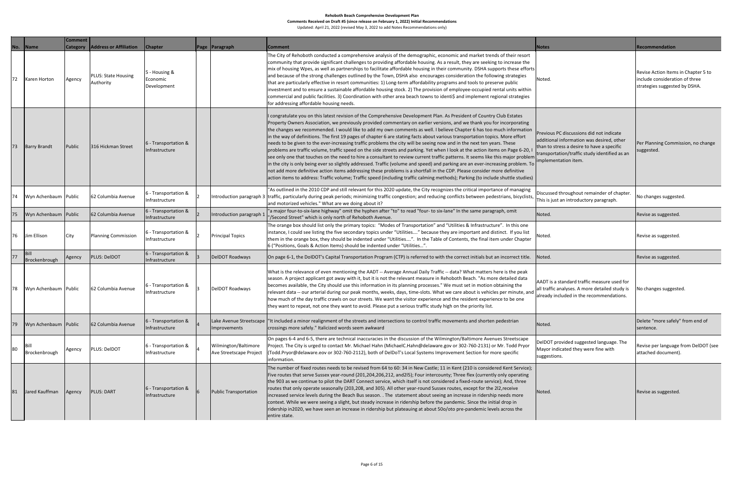**Comments Received on Draft #5 (since release on February 1, 2022) Initial Recommendations**

| No. | <b>Name</b>          | <b>Comment</b><br><b>Category</b> | <b>Address or Affiliation</b>           | <b>Chapter</b>                         | Page   Paragraph                                | <b>Comment</b>                                                                                                                                                                                                                                                                                                                                                                                                                                                                                                                                                                                                                                                                                                                                                                                                                                                                                                                                                                                                                                                                                                                                                                                                                                                                                               | <b>Notes</b>                                                                                                                                                                                                | Recommendation                                                                                         |
|-----|----------------------|-----------------------------------|-----------------------------------------|----------------------------------------|-------------------------------------------------|--------------------------------------------------------------------------------------------------------------------------------------------------------------------------------------------------------------------------------------------------------------------------------------------------------------------------------------------------------------------------------------------------------------------------------------------------------------------------------------------------------------------------------------------------------------------------------------------------------------------------------------------------------------------------------------------------------------------------------------------------------------------------------------------------------------------------------------------------------------------------------------------------------------------------------------------------------------------------------------------------------------------------------------------------------------------------------------------------------------------------------------------------------------------------------------------------------------------------------------------------------------------------------------------------------------|-------------------------------------------------------------------------------------------------------------------------------------------------------------------------------------------------------------|--------------------------------------------------------------------------------------------------------|
| 72  | Karen Horton         | Agency                            | <b>PLUS: State Housing</b><br>Authority | - Housing &<br>Economic<br>Development |                                                 | The City of Rehoboth conducted a comprehensive analysis of the demographic, economic and market trends of their resort<br>community that provide significant challenges to providing affordable housing. As a result, they are seeking to increase the<br>mix of housing Wpes, as well as partnerships to facilitate affordable housing in their community. DSHA supports these efforts<br>and because of the strong challenges outlined by the Town, DSHA also encourages consideration the following strategies<br>that are particularly effective in resort communities: 1) Long-term affordability programs and tools to preserve public<br>investment and to ensure a sustainable affordable housing stock. 2) The provision of employee-occupied rental units within<br>commercial and public facilities. 3) Coordination with other area beach towns to identi\$ and implement regional strategies<br>for addressing affordable housing needs.                                                                                                                                                                                                                                                                                                                                                        | Noted.                                                                                                                                                                                                      | Revise Action Items in Chapter 5 to<br>include consideration of three<br>strategies suggested by DSHA. |
| 73  | <b>Barry Brandt</b>  | Public                            | 316 Hickman Street                      | 6 - Transportation &<br>Infrastructure |                                                 | congratulate you on this latest revision of the Comprehensive Development Plan. As President of Country Club Estates<br>Property Owners Association, we previously provided commentary on earlier versions, and we thank you for incorporating<br>the changes we recommended. I would like to add my own comments as well. I believe Chapter 6 has too much information<br>in the way of definitions. The first 19 pages of chapter 6 are stating facts about various transportation topics. More effort<br>needs to be given to the ever-increasing traffic problems the city will be seeing now and in the next ten years. These<br>problems are traffic volume, traffic speed on the side streets and parking. Yet when I look at the action items on Page 6-20, I<br>see only one that touches on the need to hire a consultant to review current traffic patterns. It seems like this major problem<br>in the city is only being ever so slightly addressed. Traffic (volume and speed) and parking are an ever-increasing problem. To<br>not add more definitive action items addressing these problems is a shortfall in the CDP. Please consider more definitive<br>action items to address: Traffic volume; Traffic speed (including traffic calming methods); Parking (to include shuttle studies) | Previous PC discussions did not indicate<br>additional information was desired, other<br>than to stress a desire to have a specific<br>transportation/traffic study identified as an<br>Implementation item | Per Planning Commission, no change<br>suggested.                                                       |
|     | Wyn Achenbaum Public |                                   | 62 Columbia Avenue                      | - Transportation &<br>Infrastructure   |                                                 | "As outlined in the 2010 CDP and still relevant for this 2020 update, the City recognizes the critical importance of managing<br>Introduction paragraph 3 traffic, particularly during peak periods; minimizing traffic congestion; and reducing conflicts between pedestrians, bicyclists,<br>and motorized vehicles." What are we doing about it?                                                                                                                                                                                                                                                                                                                                                                                                                                                                                                                                                                                                                                                                                                                                                                                                                                                                                                                                                          | Discussed throughout remainder of chapter<br>This is just an introductory paragraph.                                                                                                                        | No changes suggested.                                                                                  |
| 75  | Wyn Achenbaum Public |                                   | 62 Columbia Avenue                      | 5 - Transportation &<br>Infrastructure | Introduction paragraph                          | "a major four-to-six-lane highway" omit the hyphen after "to" to read "four- to six-lane" In the same paragraph, omit<br>"/Second Street" which is only north of Rehoboth Avenue.                                                                                                                                                                                                                                                                                                                                                                                                                                                                                                                                                                                                                                                                                                                                                                                                                                                                                                                                                                                                                                                                                                                            | Noted.                                                                                                                                                                                                      | Revise as suggested.                                                                                   |
| 76  | Jim Ellison          | City                              | Planning Commission                     | 6 - Transportation &<br>Infrastructure | <b>Principal Topics</b>                         | The orange box should list only the primary topics: "Modes of Transportation" and "Utilities & Infrastructure". In this one<br>instance, I could see listing the five secondary topics under "Utilities" because they are important and distinct. If you list<br>them in the orange box, they should be indented under "Utilities". In the Table of Contents, the final item under Chapter<br>6 ("Positions, Goals & Action Items) should be indented under "Utilities".                                                                                                                                                                                                                                                                                                                                                                                                                                                                                                                                                                                                                                                                                                                                                                                                                                     | Noted.                                                                                                                                                                                                      | Revise as suggested.                                                                                   |
|     | Brockenbrough        | Agency                            | PLUS: DelDOT                            | - Transportation &<br>Infrastructure   | DelDOT Roadways                                 | On page 6-1, the DoIDOT's Capital Transportation Program (CTP) is referred to with the correct initials but an incorrect title.                                                                                                                                                                                                                                                                                                                                                                                                                                                                                                                                                                                                                                                                                                                                                                                                                                                                                                                                                                                                                                                                                                                                                                              | Noted.                                                                                                                                                                                                      | Revise as suggested.                                                                                   |
| 78  | Wyn Achenbaum Public |                                   | 62 Columbia Avenue                      | Fransportation &<br>Infrastructure     | DelDOT Roadways                                 | What is the relevance of even mentioning the AADT -- Average Annual Daily Traffic -- data? What matters here is the peak<br>season. A project applicant got away with it, but it is not the relevant measure in Rehoboth Beach. "As more detailed data<br>becomes available, the City should use this information in its planning processes." We must set in motion obtaining the<br>relevant data -- our arterial during our peak months, weeks, days, time-slots. What we care about is vehicles per minute, and<br>how much of the day traffic crawls on our streets. We want the visitor experience and the resident experience to be one<br>they want to repeat, not one they want to avoid. Please put a serious traffic study high on the priority list.                                                                                                                                                                                                                                                                                                                                                                                                                                                                                                                                              | AADT is a standard traffic measure used for<br>all traffic analyses. A more detailed study is<br>already included in the recommendations.                                                                   | No changes suggested.                                                                                  |
| 79  | Wyn Achenbaum Public |                                   | 62 Columbia Avenue                      | 6 - Transportation &<br>Infrastructure | Improvements                                    | Lake Avenue Streetscape  "It included a minor realignment of the streets and intersections to control traffic movements and shorten pedestrian<br>crossings more safely." Italicized words seem awkward                                                                                                                                                                                                                                                                                                                                                                                                                                                                                                                                                                                                                                                                                                                                                                                                                                                                                                                                                                                                                                                                                                      | Noted.                                                                                                                                                                                                      | Delete "more safely" from end of<br>sentence.                                                          |
| 80  | Brockenbrough        | Agency                            | PLUS: DelDOT                            | 6 - Transportation &<br>Infrastructure | Wilmington/Baltimore<br>Ave Streetscape Project | On pages 6-4 and 6-5, there are technical inaccuracies in the discussion of the Wilmington/Baltimore Avenues Streetscape<br>Project. The City is urged to contact Mr. Michael Hahn (MichaelC.Hahn@delaware.gov or 302-760-2131) or Mr. Todd Pryor<br>Todd.Pryor@delaware.eov or 302-760-2112), both of DelDoT's Local Systems Improvement Section for more specific<br>information.                                                                                                                                                                                                                                                                                                                                                                                                                                                                                                                                                                                                                                                                                                                                                                                                                                                                                                                          | DelDOT provided suggested language. The<br>Mayor indicated they were fine with<br>suggestions.                                                                                                              | Revise per language from DelDOT (see<br>attached document).                                            |
|     | lared Kauffman       | Agency                            | <b>PLUS: DART</b>                       | 6 - Transportation &<br>Infrastructure | <b>Public Transportation</b>                    | The number of fixed routes needs to be revised from 64 to 60: 34 in New Castle; 11 in Kent (210 is considered Kent Service);<br>Five routes that serve Sussex year-round (201,204,206,212, and2l5); Four intercounty; Three flex (currently only operating<br>the 903 as we continue to pilot the DART Connect service, which itself is not considered a fixed-route service); And, three<br>routes that only operate seasonally (203,208, and 305). All other year-round Sussex routes, except for the 2l2, receive<br>increased service levels during the Beach Bus season. . The statement about seeing an increase in ridership needs more<br>context. While we were seeing a slight, but steady increase in ridership before the pandemic. Since the initial drop in<br>ridership in2020, we have seen an increase in ridership but plateauing at about 50o/oto pre-pandemic levels across the<br>entire state.                                                                                                                                                                                                                                                                                                                                                                                         | Noted.                                                                                                                                                                                                      | Revise as suggested.                                                                                   |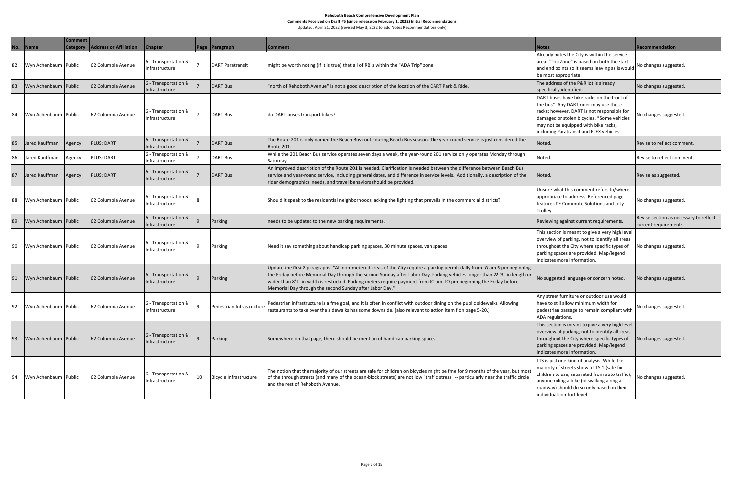**Comments Received on Draft #5 (since release on February 1, 2022) Initial Recommendations**

|      | No. Name             | <b>Comment</b><br><b>Category</b> | <b>Address or Affiliation</b> | <b>Chapter</b>                           | Page   Paragraph          | Comment                                                                                                                                                                                                                                                                                                                                                                                                                                     | <b>Notes</b>                                                                                                                                                                                                                                                          | <b>Recommendation</b>                                           |
|------|----------------------|-----------------------------------|-------------------------------|------------------------------------------|---------------------------|---------------------------------------------------------------------------------------------------------------------------------------------------------------------------------------------------------------------------------------------------------------------------------------------------------------------------------------------------------------------------------------------------------------------------------------------|-----------------------------------------------------------------------------------------------------------------------------------------------------------------------------------------------------------------------------------------------------------------------|-----------------------------------------------------------------|
|      | Wyn Achenbaum Public |                                   | 62 Columbia Avenue            | $6 -$ Transportation &<br>Infrastructure | DART Paratransit          | might be worth noting (if it is true) that all of RB is within the "ADA Trip" zone.                                                                                                                                                                                                                                                                                                                                                         | Already notes the City is within the service<br>area. "Trip Zone" is based on both the start<br>and end points so it seems leaving as is would<br>be most appropriate.                                                                                                | No changes suggested                                            |
|      | Wyn Achenbaum Public |                                   | 62 Columbia Avenue            | $6$ - Transportation &<br>Infrastructure | <b>DART Bus</b>           | "north of Rehoboth Avenue" is not a good description of the location of the DART Park & Ride.                                                                                                                                                                                                                                                                                                                                               | The address of the P&R lot is already<br>specifically identified.                                                                                                                                                                                                     | No changes suggested.                                           |
|      | Wyn Achenbaum Public |                                   | 62 Columbia Avenue            | 6 - Transportation &<br>Infrastructure   | <b>DART Bus</b>           | do DART buses transport bikes?                                                                                                                                                                                                                                                                                                                                                                                                              | DART buses have bike racks on the front of<br>the bus*. Any DART rider may use these<br>racks; however, DART is not responsible for<br>damaged or stolen bicycles. *Some vehicles<br>may not be equipped with bike racks,<br>including Paratransit and FLEX vehicles. | No changes suggested                                            |
|      | Jared Kauffman       | Agency                            | <b>PLUS: DART</b>             | $6$ - Transportation &<br>Infrastructure | <b>DART Bus</b>           | The Route 201 is only named the Beach Bus route during Beach Bus season. The year-round service is just considered the<br>Route 201.                                                                                                                                                                                                                                                                                                        | Noted.                                                                                                                                                                                                                                                                | Revise to reflect comment.                                      |
|      | Jared Kauffman       | Agency                            | <b>PLUS: DART</b>             | 6 - Transportation &<br>Infrastructure   | <b>DART Bus</b>           | While the 201 Beach Bus service operates seven days a week, the year-round 201 service only operates Monday through<br>Saturday.                                                                                                                                                                                                                                                                                                            | Noted.                                                                                                                                                                                                                                                                | Revise to reflect comment.                                      |
| 87.  | Jared Kauffman       | Agency                            | <b>PLUS: DART</b>             | $6 - Transportation &$<br>Infrastructure | DART Bus                  | An improved description of the Route 201 is needed. Clarification is needed between the difference between Beach Bus<br>service and year-round service, including general dates, and difference in service levels. Additionally, a description of the<br>rider demographics, needs, and travel behaviors should be provided.                                                                                                                | Noted.                                                                                                                                                                                                                                                                | Revise as suggested.                                            |
| 88   | Wyn Achenbaum Public |                                   | 62 Columbia Avenue            | 6 - Transportation &<br>Infrastructure   |                           | Should it speak to the residential neighborhoods lacking the lighting that prevails in the commercial districts?                                                                                                                                                                                                                                                                                                                            | Unsure what this comment refers to/where<br>appropriate to address. Referenced page<br>features DE Commute Solutions and Jolly<br>Trolley.                                                                                                                            | No changes suggested.                                           |
|      | Wyn Achenbaum Public |                                   | 62 Columbia Avenue            | $6$ - Transportation &<br>Infrastructure | Parking                   | needs to be updated to the new parking requirements.                                                                                                                                                                                                                                                                                                                                                                                        | Reviewing against current requirements.                                                                                                                                                                                                                               | Revise section as necessary to reflect<br>current requirements. |
| 90   | Wyn Achenbaum Public |                                   | 62 Columbia Avenue            | $6$ - Transportation &<br>Infrastructure | Parking                   | Need it say something about handicap parking spaces, 30 minute spaces, van spaces                                                                                                                                                                                                                                                                                                                                                           | This section is meant to give a very high level<br>overview of parking, not to identify all areas<br>throughout the City where specific types of<br>parking spaces are provided. Map/legend<br>indicates more information.                                            | No changes suggested.                                           |
|      | Wyn Achenbaum Public |                                   | 62 Columbia Avenue            | $6 -$ Transportation &<br>Infrastructure | Parking                   | Update the first 2 paragraphs: "All non-metered areas of the City require a parking permit daily from IO am-5 pm beginning<br>the Friday before Memorial Day through the second Sunday after Labor Day. Parking vehicles longer than 22 '3" in length or<br>wider than 8'I" in width is restricted. Parking meters require payment from IO am-IO pm beginning the Friday before<br>Memorial Day through the second Sunday after Labor Day." | No suggested language or concern noted.                                                                                                                                                                                                                               | No changes suggested.                                           |
|      | Wyn Achenbaum Public |                                   | 62 Columbia Avenue            | $6$ - Transportation &<br>Infrastructure | Pedestrian Infrastructure | Pedestrian infrastructure is a fme goal, and it is often in conflict with outdoor dining on the public sidewalks. Allowing<br>restaurants to take over the sidewalks has some downside. [also relevant to action item f on page 5-20.]                                                                                                                                                                                                      | Any street furniture or outdoor use would<br>have to still allow minimum width for<br>pedestrian passage to remain compliant with<br>ADA regulations.                                                                                                                 | No changes suggested                                            |
| 93 - | Wyn Achenbaum Public |                                   | 62 Columbia Avenue            | $6 -$ Transportation &<br>Infrastructure | Parking                   | Somewhere on that page, there should be mention of handicap parking spaces.                                                                                                                                                                                                                                                                                                                                                                 | This section is meant to give a very high level<br>overview of parking, not to identify all areas<br>throughout the City where specific types of<br>parking spaces are provided. Map/legend<br>indicates more information.                                            | No changes suggested.                                           |
|      | Wyn Achenbaum Public |                                   | 62 Columbia Avenue            | $6$ - Transportation &<br>Infrastructure | Bicycle Infrastructure    | The notion that the majority of our streets are safe for children on bicycles might be fme for 9 months of the year, but most<br>of the through streets (and many of the ocean-block streets) are not low "traffic stress" -- particularly near the traffic circle<br>and the rest of Rehoboth Avenue.                                                                                                                                      | LTS is just one kind of analysis. While the<br>majority of streets show a LTS 1 (safe for<br>children to use, separated from auto traffic),<br>anyone riding a bike (or walking along a<br>roadway) should do so only based on their<br>individual comfort level.     | No changes suggested.                                           |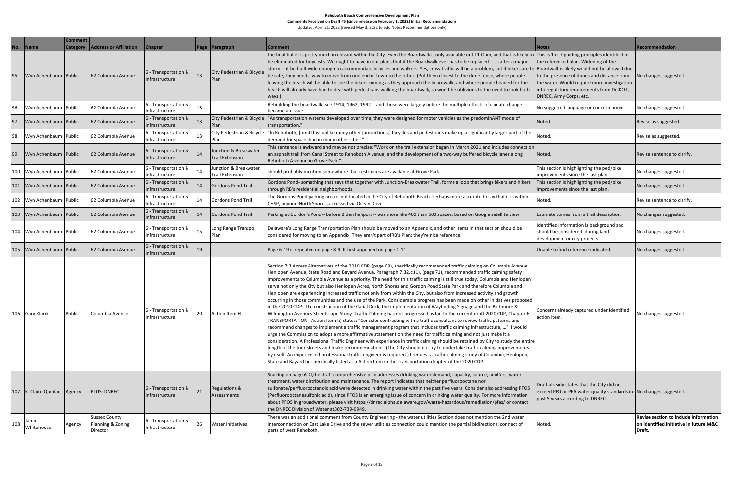**Comments Received on Draft #5 (since release on February 1, 2022) Initial Recommendations**

|     |                              | <b>Comment</b> |                                                       |                                        |           |                                                      |                                                                                                                                                                                                                                                                                                                                                                                                                                                                                                                                                                                                                                                                                                                                                                                                                                                                                                                                                                                                                                                                                                                                                                                                                                                                                                                                                                                                                                                                                                                                                                                                                                                                                                                                                                                                                                                                                                   |                                                                                                                                                                                                          |                                                                                                  |
|-----|------------------------------|----------------|-------------------------------------------------------|----------------------------------------|-----------|------------------------------------------------------|---------------------------------------------------------------------------------------------------------------------------------------------------------------------------------------------------------------------------------------------------------------------------------------------------------------------------------------------------------------------------------------------------------------------------------------------------------------------------------------------------------------------------------------------------------------------------------------------------------------------------------------------------------------------------------------------------------------------------------------------------------------------------------------------------------------------------------------------------------------------------------------------------------------------------------------------------------------------------------------------------------------------------------------------------------------------------------------------------------------------------------------------------------------------------------------------------------------------------------------------------------------------------------------------------------------------------------------------------------------------------------------------------------------------------------------------------------------------------------------------------------------------------------------------------------------------------------------------------------------------------------------------------------------------------------------------------------------------------------------------------------------------------------------------------------------------------------------------------------------------------------------------------|----------------------------------------------------------------------------------------------------------------------------------------------------------------------------------------------------------|--------------------------------------------------------------------------------------------------|
|     | No.  Name                    | Category       | <b>Address or Affiliation</b>                         | <b>Chapter</b>                         |           | Page   Paragraph                                     | <b>Comment</b>                                                                                                                                                                                                                                                                                                                                                                                                                                                                                                                                                                                                                                                                                                                                                                                                                                                                                                                                                                                                                                                                                                                                                                                                                                                                                                                                                                                                                                                                                                                                                                                                                                                                                                                                                                                                                                                                                    | <b>Notes</b>                                                                                                                                                                                             | Recommendation                                                                                   |
| 95  | Wyn Achenbaum Public         |                | 62 Columbia Avenue                                    | - Transportation &<br>Infrastructure   | <b>13</b> | <b>City Pedestrian &amp; Bicycle</b><br><b>IPlan</b> | the final bullet is pretty much irrelevant within the City. Even the Boardwalk is only available until 1 Oam, and that is likely to This is 1 of 7 guiding principles identified in<br>be eliminated for bicyclists. We ought to have in our plans that if the Boardwalk ever has to be replaced -- as after a major<br>storm -- it be built wide enough to accommodate bicycles and walkers. Yes, cross-traffic will be a problem, but if bikers are to Boardwalk is likely would not be allowed due<br>be safe, they need a way to move from one end of town to the other. (Put them closest to the dune fence, where people<br>leaving the beach will be able to see the bikers coming as they approach the boardwalk, and where people headed for the<br>beach will already have had to deal with pedestrians walking the boardwalk, so won't be oblivious to the need to look both<br>$ ways.$ )                                                                                                                                                                                                                                                                                                                                                                                                                                                                                                                                                                                                                                                                                                                                                                                                                                                                                                                                                                                             | the referenced plan. Widening of the<br>to the presence of dunes and distance from<br>the water. Would require more investigation<br>nto regulatory requirements from DelDOT,<br>DNREC, Army Corps, etc. | No changes suggested.                                                                            |
|     | Wyn Achenbaum Public         |                | 62 Columbia Avenue                                    | - Transportation &<br>nfrastructure    |           |                                                      | Rebuilding the boardwalk: see 1914, 1962, 1992 -- and those were largely before the multiple effects of climate change<br>became an issue.                                                                                                                                                                                                                                                                                                                                                                                                                                                                                                                                                                                                                                                                                                                                                                                                                                                                                                                                                                                                                                                                                                                                                                                                                                                                                                                                                                                                                                                                                                                                                                                                                                                                                                                                                        | No suggested language or concern noted.                                                                                                                                                                  | No changes suggested.                                                                            |
|     | Wyn Achenbaum Public         |                | 62 Columbia Avenue                                    | - Transportation &<br>Infrastructure   |           | Plan                                                 | City Pedestrian & Bicycle  "As transportation systems developed over time, they were designed for motor vehicles as the predominANT mode of<br>transportation."                                                                                                                                                                                                                                                                                                                                                                                                                                                                                                                                                                                                                                                                                                                                                                                                                                                                                                                                                                                                                                                                                                                                                                                                                                                                                                                                                                                                                                                                                                                                                                                                                                                                                                                                   | Noted.                                                                                                                                                                                                   | Revise as suggested                                                                              |
|     | Wyn Achenbaum Public         |                | 62 Columbia Avenue                                    | - Transportation &<br>Infrastructure   |           | City Pedestrian & Bicycle<br>Plan                    | "In Rehoboth, [omit this: unlike many other jurisdictions,] bicycles and pedestrians make up a significantly larger part of the<br>demand for space than in many other cities."                                                                                                                                                                                                                                                                                                                                                                                                                                                                                                                                                                                                                                                                                                                                                                                                                                                                                                                                                                                                                                                                                                                                                                                                                                                                                                                                                                                                                                                                                                                                                                                                                                                                                                                   | Noted.                                                                                                                                                                                                   | Revise as suggested.                                                                             |
| 99. | Wyn Achenbaum Public         |                | 62 Columbia Avenue                                    | - Transportation &<br>Infrastructure   |           | Junction & Breakwater<br>Trail Extension             | This sentence is awkward and maybe not precise: "Work on the trail extension began in March 2021 and includes connection<br>an asphalt trail from Canal Street to Rehoboth A venue, and the development of a two-way buffered bicycle lanes along<br>Rehoboth A venue to Grove Park."                                                                                                                                                                                                                                                                                                                                                                                                                                                                                                                                                                                                                                                                                                                                                                                                                                                                                                                                                                                                                                                                                                                                                                                                                                                                                                                                                                                                                                                                                                                                                                                                             | Noted.                                                                                                                                                                                                   | Revise sentence to clarify.                                                                      |
|     | 100   Wyn Achenbaum   Public |                | 62 Columbia Avenue                                    | - Transportation &<br>nfrastructure    |           | Junction & Breakwater<br>Trail Extension             | should probably mention somewhere that restrooms are available at Grove Park.                                                                                                                                                                                                                                                                                                                                                                                                                                                                                                                                                                                                                                                                                                                                                                                                                                                                                                                                                                                                                                                                                                                                                                                                                                                                                                                                                                                                                                                                                                                                                                                                                                                                                                                                                                                                                     | This section is highlighting the ped/bike<br>improvements since the last plan.                                                                                                                           | No changes suggested.                                                                            |
| 101 | Wyn Achenbaum Public         |                | 62 Columbia Avenue                                    | - Transportation &<br>Infrastructure   |           | Gordons Pond Trail                                   | Gordons Pond- something that says that together with Junction-Breakwater Trail, forms a loop that brings bikers and hikers<br>through RB's residential neighborhoods.                                                                                                                                                                                                                                                                                                                                                                                                                                                                                                                                                                                                                                                                                                                                                                                                                                                                                                                                                                                                                                                                                                                                                                                                                                                                                                                                                                                                                                                                                                                                                                                                                                                                                                                             | This section is highlighting the ped/bike<br>improvements since the last plan.                                                                                                                           | No changes suggested.                                                                            |
|     | 102   Wyn Achenbaum Public   |                | 62 Columbia Avenue                                    | - Transportation &<br>nfrastructure    |           | Gordons Pond Trail                                   | The Gordons Pond parking area is not located in the City of Rehoboth Beach. Perhaps more accurate to say that it is within<br>CHSP, beyond North Shores, accessed via Ocean Drive.                                                                                                                                                                                                                                                                                                                                                                                                                                                                                                                                                                                                                                                                                                                                                                                                                                                                                                                                                                                                                                                                                                                                                                                                                                                                                                                                                                                                                                                                                                                                                                                                                                                                                                                | Noted.                                                                                                                                                                                                   | Revise sentence to clarify.                                                                      |
|     | 103   Wyn Achenbaum   Public |                | 62 Columbia Avenue                                    | Fransportation &<br>Infrastructure     |           | Gordons Pond Trail                                   | Parking at Gordon's Pond-- before Biden heliport -- was more like 400 than 500 spaces, based on Google satellite view                                                                                                                                                                                                                                                                                                                                                                                                                                                                                                                                                                                                                                                                                                                                                                                                                                                                                                                                                                                                                                                                                                                                                                                                                                                                                                                                                                                                                                                                                                                                                                                                                                                                                                                                                                             | Estimate comes from a trail description.                                                                                                                                                                 | No changes suggested.                                                                            |
|     | 104   Wyn Achenbaum   Public |                | 62 Columbia Avenue                                    | 6 - Transportation &<br>Infrastructure |           | Long Range Transpo.<br>Plan                          | Delaware's Long Range Transportation Plan should be moved to an Appendix, and other items in that section should be<br>considered for moving to an Appendix. They aren't part of RB's Plan; they're nice reference.                                                                                                                                                                                                                                                                                                                                                                                                                                                                                                                                                                                                                                                                                                                                                                                                                                                                                                                                                                                                                                                                                                                                                                                                                                                                                                                                                                                                                                                                                                                                                                                                                                                                               | Identified information is background and<br>should be considered during land<br>development or city projects.                                                                                            | No changes suggested.                                                                            |
|     | 105   Wyn Achenbaum   Public |                | 62 Columbia Avenue                                    | 6 - Transportation &<br>Infrastructure |           |                                                      | Page 6-19 is repeated on page 8-9. It first appeared on page 1-11                                                                                                                                                                                                                                                                                                                                                                                                                                                                                                                                                                                                                                                                                                                                                                                                                                                                                                                                                                                                                                                                                                                                                                                                                                                                                                                                                                                                                                                                                                                                                                                                                                                                                                                                                                                                                                 | Unable to find reference indicated.                                                                                                                                                                      | No changes suggested.                                                                            |
|     | 106 Gary Klacik              | Public         | Columbia Avenue                                       | - Transportation &<br>Infrastructure   |           | <b>Action Item H</b>                                 | Section 7.3 Access Alternatives of the 2010 CDP, (page 69), specifically recommended traffic calming on Columbia Avenue,<br>Henlopen Avenue, State Road and Bayard Avenue. Paragraph 7.32.c.(1), (page 71), recommended traffic calming safety<br>improvements to Columbia Avenue as a priority. The need for this traffic calming is still true today. Columbia and Henlopen<br>serve not only the City but also Henlopen Acres, North Shores and Gordon Pond State Park and therefore Columbia and<br>Henlopen are experiencing increased traffic not only from within the City, but also from increased activity and growth<br>occurring in those communities and the use of the Park. Considerable progress has been made on other initiatives proposed<br>in the 2010 CDP - the construction of the Canal Dock, the implementation of Wayfinding Signage, and the Baltimore &<br>Wilmington Avenues Streetscape Study. Traffic Calming has not progressed as far. In the current draft 2020 CDP, Chapter 6<br>TRANSPORTATION - Action Item h) states: "Consider contracting with a traffic consultant to review traffic patterns and<br>recommend changes to implement a traffic management program that includes traffic calming infrastructure, ". I would<br>urge the Commission to adopt a more affirmative statement on the need for traffic calming and not just make it a<br>consideration. A Professional Traffic Engineer with experience in traffic calming should be retained by City to study the entire<br>length of the four streets and make recommendations. (The City should not try to undertake traffic calming improvements<br>by itself. An experienced professional traffic engineer is required.) I request a traffic calming study of Columbia, Henlopen,<br>State and Bayard be specifically listed as a Action Item in the Transportation chapter of the 2020 CDP. | Concerns already captured under identified<br>action item.                                                                                                                                               | No changes suggested.                                                                            |
|     | 107 K. Claire Quinlan Agency |                | <b>PLUS: DNREC</b>                                    | 6 - Transportation &<br>Infrastructure |           | Regulations &<br>Assessments                         | Starting on page 6-21, the draft comprehensive plan addresses drinking water demand, capacity, source, aquifers, water<br>treatment, water distribution and maintenance. The report indicates that neither perfluorooctane nor<br>sulfonate/perfluorooctanoic acid were detected in drinking water within the past five years. Consider also addressing PFOS<br>(Perfluorooctanesulfonic acid), since PFOS is an emerging issue of concern in drinking water quality. For more information<br>about PFOS in groundwater, please visit https://dnrec.alpha.delaware.gov/waste-hazardous/remediation/pfas/ or contact<br>the DNREC Division of Water at 302-739-9949.                                                                                                                                                                                                                                                                                                                                                                                                                                                                                                                                                                                                                                                                                                                                                                                                                                                                                                                                                                                                                                                                                                                                                                                                                               | Draft already states that the City did not<br>exceed PFO or PFA water quality standards in No changes suggested.<br>past 5 years according to DNREC.                                                     |                                                                                                  |
| 108 | Whitehouse                   | Agency         | <b>Sussex County</b><br>Planning & Zoning<br>Director | Fransportation &<br>Infrastructure     |           | <b>Water Initiatives</b>                             | There was an additional comment from County Engineering - the water utilities Section does not mention the 2nd water<br>interconnection on East Lake Drive and the sewer utilities connection could mention the partial bidirectional connect of<br>parts of west Rehoboth.                                                                                                                                                                                                                                                                                                                                                                                                                                                                                                                                                                                                                                                                                                                                                                                                                                                                                                                                                                                                                                                                                                                                                                                                                                                                                                                                                                                                                                                                                                                                                                                                                       | Noted.                                                                                                                                                                                                   | <b>Revise section to include information</b><br>on identified initiative in future M&C<br>Draft. |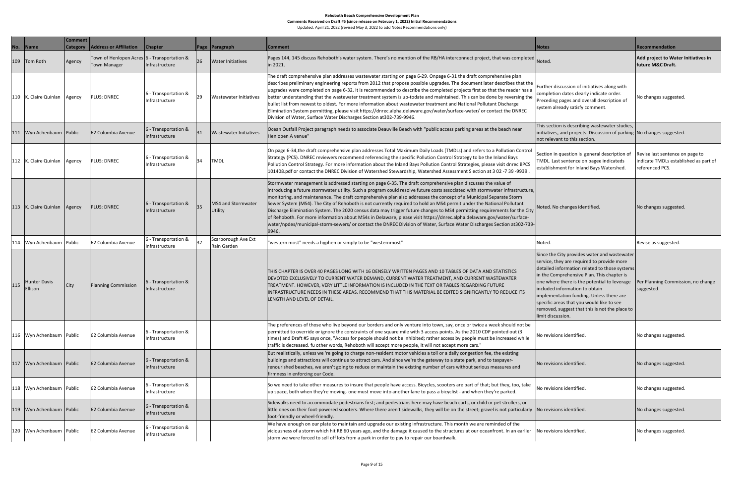**Comments Received on Draft #5 (since release on February 1, 2022) Initial Recommendations**

| No. | Name                             | <b>Comment</b><br> Category | <b>Address or Affiliation</b>                               | <b>Chapter</b>                           |    | Page   Paragraph                   | Comment                                                                                                                                                                                                                                                                                                                                                                                                                                                                                                                                                                                                                                                                                                                                                                                                                                                                                  | <b>Notes</b>                                                                                                                                                                                                                                                                                                                                                                                                                                | <b>Recommendation</b>                                                                      |
|-----|----------------------------------|-----------------------------|-------------------------------------------------------------|------------------------------------------|----|------------------------------------|------------------------------------------------------------------------------------------------------------------------------------------------------------------------------------------------------------------------------------------------------------------------------------------------------------------------------------------------------------------------------------------------------------------------------------------------------------------------------------------------------------------------------------------------------------------------------------------------------------------------------------------------------------------------------------------------------------------------------------------------------------------------------------------------------------------------------------------------------------------------------------------|---------------------------------------------------------------------------------------------------------------------------------------------------------------------------------------------------------------------------------------------------------------------------------------------------------------------------------------------------------------------------------------------------------------------------------------------|--------------------------------------------------------------------------------------------|
|     | 109 Tom Roth                     | Agency                      | Town of Henlopen Acres 6 - Transportation &<br>Town Manager | Infrastructure                           |    | <b>Water Initiatives</b>           | Pages 144, 145 discuss Rehoboth's water system. There's no mention of the RB/HA interconnect project, that was completed Noted.<br>in 2021.                                                                                                                                                                                                                                                                                                                                                                                                                                                                                                                                                                                                                                                                                                                                              |                                                                                                                                                                                                                                                                                                                                                                                                                                             | Add project to Water Initiatives in<br>future M&C Draft.                                   |
|     | 110   K. Claire Quinlan   Agency |                             | <b>PLUS: DNREC</b>                                          | 6 - Transportation &<br>Infrastructure   |    | Wastewater Initiatives             | The draft comprehensive plan addresses wastewater starting on page 6-29. Onpage 6-31 the draft comprehensive plan<br>describes preliminary engineering reports from 2012 that propose possible upgrades. The document later describes that the<br>upgrades were completed on page 6-32. It is recommended to describe the completed projects first so that the reader has a<br>better understanding that the wastewater treatment system is up-todate and maintained. This can be done by reversing the<br>bullet list from newest to oldest. For more information about wastewater treatment and National Pollutant Discharge<br>Elimination System permitting, please visit https://dnrec.alpha.delaware.gov/water/surface-water/ or contact the DNREC<br>Division of Water, Surface Water Discharges Section at 302-739-9946.                                                         | Further discussion of initiatives along with<br>completion dates clearly indicate order.<br>Preceding pages and overall description of<br>system already satisfy comment.                                                                                                                                                                                                                                                                   | No changes suggested                                                                       |
|     | 111   Wyn Achenbaum   Public     |                             | 62 Columbia Avenue                                          | 6 - Transportation &<br>Infrastructure   |    | <b>Wastewater Initiatives</b>      | Ocean Outfall Project paragraph needs to associate Deauville Beach with "public access parking areas at the beach near<br>Henlopen A venue"                                                                                                                                                                                                                                                                                                                                                                                                                                                                                                                                                                                                                                                                                                                                              | This section is describing wastewater studies,<br>initiatives, and projects. Discussion of parking No changes suggested.<br>not relevant to this section.                                                                                                                                                                                                                                                                                   |                                                                                            |
| 12  | K. Claire Quinlan                | Agency                      | <b>PLUS: DNREC</b>                                          | 6 - Transportation &<br>Infrastructure   |    | <b>TMDL</b>                        | On page 6-34, the draft comprehensive plan addresses Total Maximum Daily Loads (TMDLs) and refers to a Pollution Control<br>Strategy (PCS). DNREC reviewers recommend referencing the specific Pollution Control Strategy to be the Inland Bays<br>Pollution Control Strategy. For more information about the Inland Bays Pollution Control Strategies, please visit dnrec BPCS<br>101408.pdf or contact the DNREC Division of Watershed Stewardship, Watershed Assessment S ection at 302 -7 39 -9939                                                                                                                                                                                                                                                                                                                                                                                   | Section in question is general description of<br>TMDL. Last sentence on pagee indicateds<br>establishment for Inland Bays Watershed.                                                                                                                                                                                                                                                                                                        | Revise last sentence on page to<br>ndicate TMDLs established as part of<br>referenced PCS. |
|     | 113   K. Claire Quinlan   Agency |                             | <b>PLUS: DNREC</b>                                          | $6 -$ Transportation &<br>Infrastructure | 35 | MS4 and Stormwater<br>Utility      | Stormwater management is addressed starting on page 6-35. The draft comprehensive plan discusses the value of<br>introducing a future stormwater utility. Such a program could resolve future costs associated with stormwater infrastructure,<br>monitoring, and maintenance. The draft comprehensive plan also addresses the concept of a Municipal Separate Storm<br>Sewer System (MS4). The City of Rehoboth is not currently required to hold an MS4 permit under the National Pollutant<br>Discharge Elimination System. The 2020 census data may trigger future changes to MS4 permitting requirements for the City<br>of Rehoboth. For more information about MS4s in Delaware, please visit https://dnrec.alpha.delaware.gov/water/surface-<br>water/npdes/municipal-storm-sewers/ or contact the DNREC Division of Water, Surface Water Discharges Section at302-739-<br>9946. | Noted. No changes identified.                                                                                                                                                                                                                                                                                                                                                                                                               | No changes suggested                                                                       |
|     | 114   Wyn Achenbaum   Public     |                             | 62 Columbia Avenue                                          | 6 - Transportation &<br>Infrastructure   |    | Scarborough Ave Ext<br>Rain Garden | "western most" needs a hyphen or simply to be "westernmost"                                                                                                                                                                                                                                                                                                                                                                                                                                                                                                                                                                                                                                                                                                                                                                                                                              | Noted.                                                                                                                                                                                                                                                                                                                                                                                                                                      | Revise as suggested.                                                                       |
| L15 | Hunter Davis<br><b>Ellison</b>   | <b>City</b>                 | Planning Commission                                         | $6 -$ Transportation &<br>Infrastructure |    |                                    | THIS CHAPTER IS OVER 40 PAGES LONG WITH 16 DENSELY WRITTEN PAGES AND 10 TABLES OF DATA AND STATISTICS<br>DEVOTED EXCLUSIVELY TO CURRENT WATER DEMAND, CURRENT WATER TREATMENT, AND CURRENT WASTEWATER<br>TREATMENT. HOWEVER, VERY LITTLE INFORMATION IS INCLUDED IN THE TEXT OR TABLES REGARDING FUTURE<br>IINFRASTRUCTURE NEEDS IN THESE AREAS. RECOMMEND THAT THIS MATERIAL BE EDITED SIGNIFICANTLY TO REDUCE ITS<br>LENGTH AND LEVEL OF DETAIL.                                                                                                                                                                                                                                                                                                                                                                                                                                       | Since the City provides water and wastewater<br>service, they are required to provide more<br>detailed information related to those systems<br>In the Comprehensive Plan. This chapter is<br>one where there is the potential to leverage<br>included information to obtain<br>implementation funding. Unless there are<br>specific areas that you would like to see<br>removed, suggest that this is not the place to<br>limit discussion. | Per Planning Commission, no change<br>suggested.                                           |
|     | 116   Wyn Achenbaum   Public     |                             | 62 Columbia Avenue                                          | 6 - Transportation &<br>Infrastructure   |    |                                    | The preferences of those who live beyond our borders and only venture into town, say, once or twice a week should not be<br>permitted to override or ignore the constraints of one square mile with 3 access points. As the 2010 CDP pointed out (3<br>times) and Draft #5 says once, "Access for people should not be inhibited; rather access by people must be increased while<br>traffic is decreased. fu other words, Rehoboth will accept more people, it will not accept more cars."                                                                                                                                                                                                                                                                                                                                                                                              | No revisions identified                                                                                                                                                                                                                                                                                                                                                                                                                     | No changes suggested                                                                       |
|     | 117   Wyn Achenbaum   Public     |                             | 62 Columbia Avenue                                          | $6 -$ Transportation &<br>Infrastructure |    |                                    | But realistically, unless we 're going to charge non-resident motor vehicles a toll or a daily congestion fee, the existing<br>buildings and attractions will continue to attract cars. And since we're the gateway to a state park, and to taxpayer-<br>renourished beaches, we aren't going to reduce or maintain the existing number of cars without serious measures and<br>firmness in enforcing our Code.                                                                                                                                                                                                                                                                                                                                                                                                                                                                          | No revisions identified                                                                                                                                                                                                                                                                                                                                                                                                                     | No changes suggested.                                                                      |
|     | 118   Wyn Achenbaum   Public     |                             | 62 Columbia Avenue                                          | 6 - Transportation &<br>Infrastructure   |    |                                    | So we need to take other measures to insure that people have access. Bicycles, scooters are part of that; but they, too, take<br>up space, both when they're moving- one must move into another lane to pass a bicyclist - and when they're parked.                                                                                                                                                                                                                                                                                                                                                                                                                                                                                                                                                                                                                                      | No revisions identified                                                                                                                                                                                                                                                                                                                                                                                                                     | No changes suggested.                                                                      |
|     | 119   Wyn Achenbaum Public       |                             | 62 Columbia Avenue                                          | 6 - Transportation &<br>Infrastructure   |    |                                    | Sidewalks need to accommodate pedestrians first; and pedestrians here may have beach carts, or child or pet strollers, or<br>little ones on their foot-powered scooters. Where there aren't sidewalks, they will be on the street; gravel is not particularly No revisions identified.<br>foot-friendly or wheel-friendly.                                                                                                                                                                                                                                                                                                                                                                                                                                                                                                                                                               |                                                                                                                                                                                                                                                                                                                                                                                                                                             | No changes suggested.                                                                      |
|     | 120 Wyn Achenbaum Public         |                             | 62 Columbia Avenue                                          | $6$ - Transportation &<br>Infrastructure |    |                                    | We have enough on our plate to maintain and upgrade our existing infrastructure. This month we are reminded of the<br>viciousness of a storm which hit RB 60 years ago, and the damage it caused to the structures at our oceanfront. In an earlier No revisions identified.<br>storm we were forced to sell off lots from a park in order to pay to repair our boardwalk.                                                                                                                                                                                                                                                                                                                                                                                                                                                                                                               |                                                                                                                                                                                                                                                                                                                                                                                                                                             | No changes suggested                                                                       |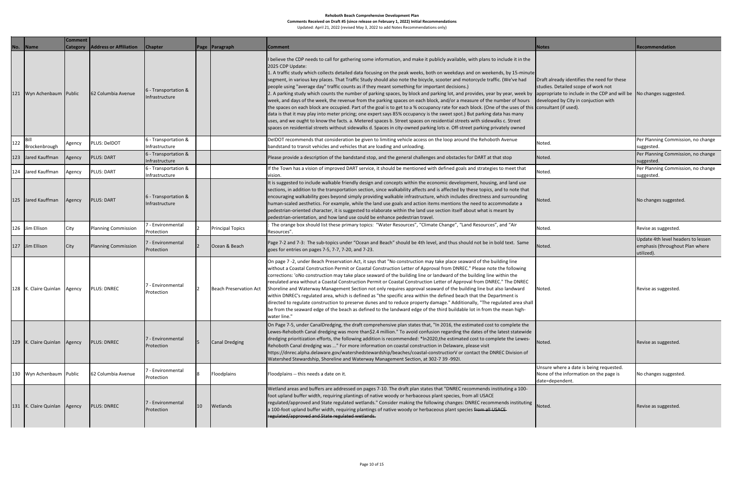**Comments Received on Draft #5 (since release on February 1, 2022) Initial Recommendations**

|    |                                | <b>Comment</b>  |                               |                                           |                         |                                                                                                                                                                                                                                                                                                                                                                                                                                                                                                                                                                                                                                                                                                                                                                                                                                                                                                                                                                                                                                                                                                                                                                                                                                                                                                                             |                                                                                                                                                                                                                   |                                                                                     |
|----|--------------------------------|-----------------|-------------------------------|-------------------------------------------|-------------------------|-----------------------------------------------------------------------------------------------------------------------------------------------------------------------------------------------------------------------------------------------------------------------------------------------------------------------------------------------------------------------------------------------------------------------------------------------------------------------------------------------------------------------------------------------------------------------------------------------------------------------------------------------------------------------------------------------------------------------------------------------------------------------------------------------------------------------------------------------------------------------------------------------------------------------------------------------------------------------------------------------------------------------------------------------------------------------------------------------------------------------------------------------------------------------------------------------------------------------------------------------------------------------------------------------------------------------------|-------------------------------------------------------------------------------------------------------------------------------------------------------------------------------------------------------------------|-------------------------------------------------------------------------------------|
|    | No. Name                       | <b>Category</b> | <b>Address or Affiliation</b> | <b>Chapter</b>                            | Page   Paragraph        | <b>Comment</b>                                                                                                                                                                                                                                                                                                                                                                                                                                                                                                                                                                                                                                                                                                                                                                                                                                                                                                                                                                                                                                                                                                                                                                                                                                                                                                              | <b>Notes</b>                                                                                                                                                                                                      | Recommendation                                                                      |
|    | 121   Wyn Achenbaum   Public   |                 | 62 Columbia Avenue            | $ 6 -$ Transportation &<br>Infrastructure |                         | I believe the CDP needs to call for gathering some information, and make it publicly available, with plans to include it in the<br>2025 CDP Update:<br>1. A traffic study which collects detailed data focusing on the peak weeks, both on weekdays and on weekends, by 15-minute<br>segment, in various key places. That Traffic Study should also note the bicycle, scooter and motorcycle traffic. (We've had<br>people using "average day" traffic counts as if they meant something for important decisions.)<br>2. A parking study which counts the number of parking spaces, by block and parking lot, and provides, year by year, week by<br>week, and days of the week, the revenue from the parking spaces on each block, and/or a measure of the number of hours<br>the spaces on each block are occupied. Part of the goal is to get to a % occupancy rate for each block. (One of the uses of this consultant (if used).<br>data is that it may play into meter pricing; one expert says 85% occupancy is the sweet spot.) But parking data has many<br>uses, and we ought to know the facts. a. Metered spaces b. Street spaces on residential streets with sidewalks c. Street<br>spaces on residential streets without sidewalks d. Spaces in city-owned parking lots e. Off-street parking privately owned | Draft already identifies the need for these<br>studies. Detailed scope of work not<br>$\vert$ appropriate to include in the CDP and will be $\vert$ No changes suggested.<br>developed by City in conjuction with |                                                                                     |
| 22 | Brockenbrough                  | Agency          | PLUS: DelDOT                  | 6 - Transportation &<br>Infrastructure    |                         | DeIDOT recommends that consideration be given to limiting vehicle access on the loop around the Rehoboth Avenue<br>bandstand to transit vehicles and vehicles that are loading and unloading.                                                                                                                                                                                                                                                                                                                                                                                                                                                                                                                                                                                                                                                                                                                                                                                                                                                                                                                                                                                                                                                                                                                               | Noted.                                                                                                                                                                                                            | Per Planning Commission, no change                                                  |
|    | 123 Jared Kauffman             | Agency          | <b>PLUS: DART</b>             | $6 -$ Transportation &<br>Infrastructure  |                         | Please provide a description of the bandstand stop, and the general challenges and obstacles for DART at that stop                                                                                                                                                                                                                                                                                                                                                                                                                                                                                                                                                                                                                                                                                                                                                                                                                                                                                                                                                                                                                                                                                                                                                                                                          | Noted.                                                                                                                                                                                                            | suggested.<br>Per Planning Commission, no change<br>suggested                       |
|    | 124 Jared Kauffman             | Agency          | PLUS: DART                    | 6 - Transportation &<br>Infrastructure    |                         | If the Town has a vision of improved DART service, it should be mentioned with defined goals and strategies to meet that<br>vision.                                                                                                                                                                                                                                                                                                                                                                                                                                                                                                                                                                                                                                                                                                                                                                                                                                                                                                                                                                                                                                                                                                                                                                                         | Noted.                                                                                                                                                                                                            | Per Planning Commission, no change<br>suggested.                                    |
|    | 125 Jared Kauffman             | Agency          | <b>PLUS: DART</b>             | $6 -$ Transportation &<br>Infrastructure  |                         | It is suggested to include walkable friendly design and concepts within the economic development, housing, and land use<br>sections, in addition to the transportation section, since walkability affects and is affected by these topics, and to note that<br>encouraging walkability goes beyond simply providing walkable infrastructure, which includes directness and surrounding<br>human-scaled aesthetics. For example, while the land use goals and action items mentions the need to accommodate a<br>pedestrian-oriented character, it is suggested to elaborate within the land use section itself about what is meant by<br>pedestrian-orientation, and how land use could be enhance pedestrian travel.                                                                                                                                                                                                                                                                                                                                                                                                                                                                                                                                                                                                       | Noted.                                                                                                                                                                                                            | No changes suggested.                                                               |
|    | 126 Jim Ellison                | City            | Planning Commission           | - Environmental<br><b>Protection</b>      | <b>Principal Topics</b> | The orange box should list these primary topics: "Water Resources", "Climate Change", "Land Resources", and "Air<br>[Resources".                                                                                                                                                                                                                                                                                                                                                                                                                                                                                                                                                                                                                                                                                                                                                                                                                                                                                                                                                                                                                                                                                                                                                                                            | Noted.                                                                                                                                                                                                            | Revise as suggested.                                                                |
|    | 127 Jim Ellison                | City            | Planning Commission           | - Environmental<br>Protection             | Ocean & Beach           | Page 7-2 and 7-3: The sub-topics under "Ocean and Beach" should be 4th level, and thus should not be in bold text. Same<br>goes for entries on pages 7-5, 7-7, 7-20, and 7-23.                                                                                                                                                                                                                                                                                                                                                                                                                                                                                                                                                                                                                                                                                                                                                                                                                                                                                                                                                                                                                                                                                                                                              | Noted.                                                                                                                                                                                                            | Update 4th level headers to lessen<br>emphasis (throughout Plan where<br>utilized). |
|    | 128 K. Claire Quinlan   Agency |                 | PLUS: DNREC                   | - Environmental<br>Protection             | Beach Preservation Act  | On page 7-2, under Beach Preservation Act, it says that "No construction may take place seaward of the building line<br>without a Coastal Construction Permit or Coastal Construction Letter of Approval from DNREC." Please note the following<br>corrections: 'oNo construction may take place seaward of the building line or landward of the building line within the<br>reeulated area without a Coastal Construction Permit or Coastal Construction Letter of Approval from DNREC." The DNREC<br>Shoreline and Waterway Management Section not only requires approval seaward of the building line but also landward<br>within DNREC's regulated area, which is defined as "the specific area within the defined beach that the Department is<br>directed to regulate construction to preserve dunes and to reduce property damage." Additionally, "The regulated area shall<br>be from the seaward edge of the beach as defined to the landward edge of the third buildable lot in from the mean high-<br>water line."                                                                                                                                                                                                                                                                                               | Noted.                                                                                                                                                                                                            | Revise as suggested.                                                                |
|    | 129 K. Claire Quinlan          | Agency          | <b>PLUS: DNREC</b>            | 7 - Environmental<br>Protection           | Canal Dredging          | On Page 7-5, under CanalDredging, the draft comprehensive plan states that, "In 2016, the estimated cost to complete the<br>Lewes-Rehoboth Canal dredging was more than\$2.4 million." To avoid confusion regarding the dates of the latest statewide<br>dredging prioritization efforts, the following addition is recommended: *In2020,the estimated cost to complete the Lewes-<br>Rehoboth Canal dredging was " For more information on coastal construction in Delaware, please visit<br>https://dnrec.alpha.delaware.gov/watershedstewardship/beaches/coastal-constructiorV or contact the DNREC Division of<br>Watershed Stewardship, Shoreline and Waterway Management Section, at 302-7 39 -992I.                                                                                                                                                                                                                                                                                                                                                                                                                                                                                                                                                                                                                  | Noted.                                                                                                                                                                                                            | Revise as suggested.                                                                |
|    | 130   Wyn Achenbaum   Public   |                 | 62 Columbia Avenue            | - Environmental<br>Protection             | Floodplains             | Floodplains -- this needs a date on it.                                                                                                                                                                                                                                                                                                                                                                                                                                                                                                                                                                                                                                                                                                                                                                                                                                                                                                                                                                                                                                                                                                                                                                                                                                                                                     | Unsure where a date is being requested.<br>None of the information on the page is<br>date=dependent.                                                                                                              | No changes suggested.                                                               |
|    | 131 K. Claire Quinlan          | Agency          | <b>PLUS: DNREC</b>            | - Environmental<br>Protection             | Wetlands                | Wetland areas and buffers are addressed on pages 7-10. The draft plan states that "DNREC recommends instituting a 100-<br>foot upland buffer width, requiring plantings of native woody or herbaceous plant species, from all USACE<br>regulated/approved and State regulated wetlands." Consider making the following changes: DNREC recommends instituting<br>a 100-foot upland buffer width, requiring plantings of native woody or herbaceous plant species from all USACE-<br>regulated/approved and State regulated wetlands.                                                                                                                                                                                                                                                                                                                                                                                                                                                                                                                                                                                                                                                                                                                                                                                         | Noted.                                                                                                                                                                                                            | Revise as suggested.                                                                |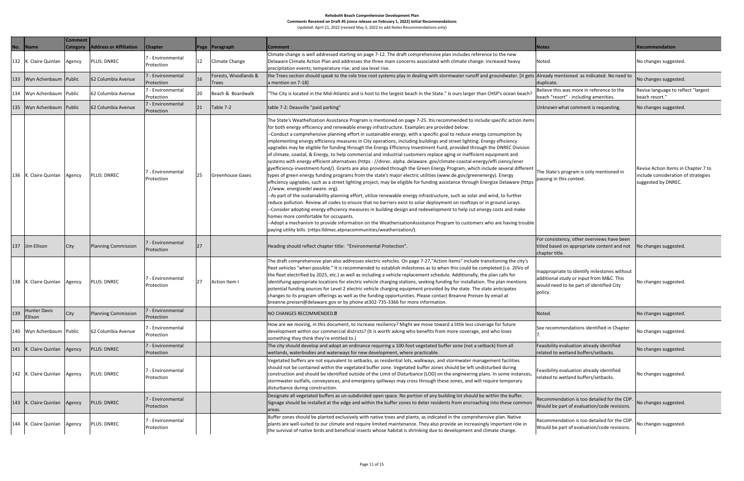**Comments Received on Draft #5 (since release on February 1, 2022) Initial Recommendations**

| Updated: April 21, 2022 (revised May 3, 2022 to add Note |  |  |
|----------------------------------------------------------|--|--|
|                                                          |  |  |

|     | No. Name                         | <b>Comment</b><br><b>Category</b> | <b>Address or Affiliation</b> | <b>Chapter</b>                |    | Page   Paragraph                     | Comment                                                                                                                                                                                                                                                                                                                                                                                                                                                                                                                                                                                                                                                                                                                                                                                                                                                                                                                                                                                                                                                                                                                                                                                                                                                                                                                                                                                                                                                                                                                                                                                                                                                                                                                                                                                                                                                                                                               | <b>Notes</b>                                                                                                                                    | Recommendation                                                                                    |
|-----|----------------------------------|-----------------------------------|-------------------------------|-------------------------------|----|--------------------------------------|-----------------------------------------------------------------------------------------------------------------------------------------------------------------------------------------------------------------------------------------------------------------------------------------------------------------------------------------------------------------------------------------------------------------------------------------------------------------------------------------------------------------------------------------------------------------------------------------------------------------------------------------------------------------------------------------------------------------------------------------------------------------------------------------------------------------------------------------------------------------------------------------------------------------------------------------------------------------------------------------------------------------------------------------------------------------------------------------------------------------------------------------------------------------------------------------------------------------------------------------------------------------------------------------------------------------------------------------------------------------------------------------------------------------------------------------------------------------------------------------------------------------------------------------------------------------------------------------------------------------------------------------------------------------------------------------------------------------------------------------------------------------------------------------------------------------------------------------------------------------------------------------------------------------------|-------------------------------------------------------------------------------------------------------------------------------------------------|---------------------------------------------------------------------------------------------------|
|     | 132 K. Claire Quinlan   Agency   |                                   | <b>PLUS: DNREC</b>            | - Environmental<br>Protection |    | Climate Change                       | Climate change is well addressed starting on page 7-12. The draft comprehensive plan includes reference to the new<br>Delaware Climate Action Plan and addresses the three main concerns associated with climate change: increased heavy<br>precipitation events; temperature rise; and sea level rise.                                                                                                                                                                                                                                                                                                                                                                                                                                                                                                                                                                                                                                                                                                                                                                                                                                                                                                                                                                                                                                                                                                                                                                                                                                                                                                                                                                                                                                                                                                                                                                                                               | Noted.                                                                                                                                          | No changes suggested.                                                                             |
|     | 133   Wyn Achenbaum   Public     |                                   | 62 Columbia Avenue            | - Environmental<br>Protection |    | Forests, Woodlands &<br><b>Trees</b> | the Trees section should speak to the role tree root systems play in dealing with stormwater runoff and groundwater. [it gets Already mentioned as indicated. No need to<br>a mention on 7-18                                                                                                                                                                                                                                                                                                                                                                                                                                                                                                                                                                                                                                                                                                                                                                                                                                                                                                                                                                                                                                                                                                                                                                                                                                                                                                                                                                                                                                                                                                                                                                                                                                                                                                                         | duplicate.                                                                                                                                      | No changes suggested.                                                                             |
|     | 134   Wyn Achenbaum   Public     |                                   | 62 Columbia Avenue            | - Environmental<br>Protection |    | Beach & Boardwalk                    | "The City is located in the Mid-Atlantic and is host to the largest beach in the State." Is ours larger than CHSP's ocean beach?                                                                                                                                                                                                                                                                                                                                                                                                                                                                                                                                                                                                                                                                                                                                                                                                                                                                                                                                                                                                                                                                                                                                                                                                                                                                                                                                                                                                                                                                                                                                                                                                                                                                                                                                                                                      | Believe this was more in reference to the<br>beach "resort" - including amenities.                                                              | Revise language to reflect "largest<br>beach resort."                                             |
|     | 135 Wyn Achenbaum Public         |                                   | 62 Columbia Avenue            | - Environmental<br>Protection |    | Table 7-2                            | table 7-2: Deauville "paid parking"                                                                                                                                                                                                                                                                                                                                                                                                                                                                                                                                                                                                                                                                                                                                                                                                                                                                                                                                                                                                                                                                                                                                                                                                                                                                                                                                                                                                                                                                                                                                                                                                                                                                                                                                                                                                                                                                                   | Unknown what comment is requesting.                                                                                                             | No changes suggested.                                                                             |
|     | 136   K. Claire Quinlan   Agency |                                   | <b>PLUS: DNREC</b>            | - Environmental<br>Protection |    | Greenhouse Gases                     | The State's Weathefization Assistance Program is mentioned on page 7-25. Itis recommended to include specific action items<br>for both energy efficiency and renewable energy infrastructure. Examples are provided below:<br>--Conduct a comprehensive planning effort in sustainable energy, with a specific goal to reduce energy consumption by<br>implementing energy efficiency measures in City operations, including buildings and street lighting. Energy efhciency<br>upgrades may be eligible for funding through the Energy Efficiency Investment Fund, provided through the DNREC Division<br>of climate, coastal, & Energy, to help commercial and industrial customers replace aging or inefficient equipment and<br>systems with energy efficient alternatives (https : //dnrec. alpha. delaware. gov/climate-coastal-energy/effi ciency/ener<br>gyefficiency-investment-fund/). Grants are also provided through the Green Energy Program, which include several different<br>types of green energy funding programs from the state's major electric utilities (www.de.gov/greenenergy). Energy<br>efhciency upgrades, such as a street lighting project, may be eligible for funding assistance through Energize Delaware (https<br>://www.energizedel aware.org).<br>--As part of the sustainability planning effort, utilize renewable energy infrastructure, such as solar and wind, to further<br>reduce pollution. Review all codes to ensure that no barriers exist to solar deployment on rooftops or in ground iurays.<br>--Consider adopting energy efhciency measures in building design and redevelopment to help cut energy costs and make<br>homes more comfortable for occupants.<br>-Adopt a mechanism to provide information on the WeatherizationAssistance Program to customers who are having trouble<br>paying utility bills. (nttps: Ildmec.atpnacommunities/weatherization/). | The State's program is only mentioned in<br>passing in this context.                                                                            | Revise Action Items in Chapter 7 to<br>include consideration of strategies<br>suggested by DNREC. |
|     | 137 Jim Ellison                  | City                              | Planning Commission           | - Environmental<br>Protection | 27 |                                      | Heading should reflect chapter title: "Environmental Protection".                                                                                                                                                                                                                                                                                                                                                                                                                                                                                                                                                                                                                                                                                                                                                                                                                                                                                                                                                                                                                                                                                                                                                                                                                                                                                                                                                                                                                                                                                                                                                                                                                                                                                                                                                                                                                                                     | For consistency, other overviews have been<br>titled based on appropriate content and not<br>chapter title.                                     | No changes suggested.                                                                             |
|     | 138 K. Claire Quinlan Agency     |                                   | <b>PLUS: DNREC</b>            | - Environmental<br>Protection |    | <b>Action Item I</b>                 | The draft comprehensive plan also addresses electric vehicles. On page 7-27,"Action Items" include transitioning the city's<br>fleet vehicles "when possible." It is recommended to establish milestones as to when this could be completed (i.e. 20Vo of<br>the fleet electrified by 2025, etc.) as well as including a vehicle replacement schedule. Additionally, the plan calls for<br>lidentifuing appropriate locations for electric vehicle charging stations, seeking funding for installation. The plan mentions<br>potential funding sources for Level 2 electric vehicle charging equipment provided by the state. The state anticipates<br>changes to its program offerings as well as the funding opportunities. Please contact Breanne Preisen by email at<br>breanne.preisen@delaware.gov or by phone at 302-735-3366 for more information.                                                                                                                                                                                                                                                                                                                                                                                                                                                                                                                                                                                                                                                                                                                                                                                                                                                                                                                                                                                                                                                            | Inappropriate to identify milestones without<br>additional study or input from M&C. This<br>would need to be part of identified City<br>policy. | No changes suggested.                                                                             |
| 39  | <b>Hunter Davis</b><br>Ellison   | City                              | <b>Planning Commission</b>    | - Environmental<br>Protection |    |                                      | NO CHANGES RECOMMENDED. <sup>[2]</sup>                                                                                                                                                                                                                                                                                                                                                                                                                                                                                                                                                                                                                                                                                                                                                                                                                                                                                                                                                                                                                                                                                                                                                                                                                                                                                                                                                                                                                                                                                                                                                                                                                                                                                                                                                                                                                                                                                | Noted.                                                                                                                                          | No changes suggested.                                                                             |
|     | 140   Wyn Achenbaum   Public     |                                   | 62 Columbia Avenue            | - Environmental<br>Protection |    |                                      | How are we moving, in this document, to increase resiliency? Might we move toward a little less coverage for future<br>development within our commercial districts? (It is worth asking who benefits from more coverage, and who loses<br>something they think they're entitled to.)                                                                                                                                                                                                                                                                                                                                                                                                                                                                                                                                                                                                                                                                                                                                                                                                                                                                                                                                                                                                                                                                                                                                                                                                                                                                                                                                                                                                                                                                                                                                                                                                                                  | See recommendations identified in Chapter                                                                                                       | No changes suggested.                                                                             |
| l41 | K. Claire Quinlan   Agency       |                                   | <b>PLUS: DNREC</b>            | - Environmental<br>Protection |    |                                      | The city should develop and adopt an ordinance requiring a 100-foot vegetated buffer zone (not a setback) from all<br>wetlands, waterbodies and waterways for new development, where practicable.                                                                                                                                                                                                                                                                                                                                                                                                                                                                                                                                                                                                                                                                                                                                                                                                                                                                                                                                                                                                                                                                                                                                                                                                                                                                                                                                                                                                                                                                                                                                                                                                                                                                                                                     | Feasibility evaluation already identified<br>related to wetland buffers/setbacks.                                                               | No changes suggested.                                                                             |
|     | 142   K. Claire Quinlan          | Agency                            | <b>PLUS: DNREC</b>            | - Environmental<br>Protection |    |                                      | Vegetated buffers are not equivalent to setbacks, as residential lots, walkways, and stormwater management facilities<br>should not be contained within the vegetated buffer zone. Vegetated buffer zones should be left undisturbed during<br>construction and should be identified outside of the Limit of Disturbance (LOD) on the engineering plans. In some instances,<br>stormwater outfalls, conveyances, and emergency spillways may cross through these zones, and will require temporary<br>disturbance during construction.                                                                                                                                                                                                                                                                                                                                                                                                                                                                                                                                                                                                                                                                                                                                                                                                                                                                                                                                                                                                                                                                                                                                                                                                                                                                                                                                                                                | Feasibility evaluation already identified<br>related to wetland buffers/setbacks.                                                               | No changes suggested.                                                                             |
|     | 143 K. Claire Quinlan Agency     |                                   | <b>PLUS: DNREC</b>            | - Environmental<br>Protection |    |                                      | Designate all vegetated buffers as un-subdivided open space. No portion of any building lot should be within the buffer.<br>Signage should be installed at the edge and within the buffer zones to deter residents from encroaching into these common<br>areas.                                                                                                                                                                                                                                                                                                                                                                                                                                                                                                                                                                                                                                                                                                                                                                                                                                                                                                                                                                                                                                                                                                                                                                                                                                                                                                                                                                                                                                                                                                                                                                                                                                                       | Recommendation is too detailed for the CDP.<br>Would be part of evaluation/code revisions.                                                      | No changes suggested.                                                                             |
|     | 144   K. Claire Quinlan   Agency |                                   | <b>PLUS: DNREC</b>            | - Environmental<br>Protection |    |                                      | Buffer zones should be planted exclusively with native trees and plants, as indicated in the comprehensive plan. Native<br>plants are well-suited to our climate and require limited maintenance. They also provide an increasingly important role in<br>the survival of native birds and beneficial insects whose habitat is shrinking due to development and climate change.                                                                                                                                                                                                                                                                                                                                                                                                                                                                                                                                                                                                                                                                                                                                                                                                                                                                                                                                                                                                                                                                                                                                                                                                                                                                                                                                                                                                                                                                                                                                        | Recommendation is too detailed for the CDP.<br>Would be part of evaluation/code revisions.                                                      | No changes suggested.                                                                             |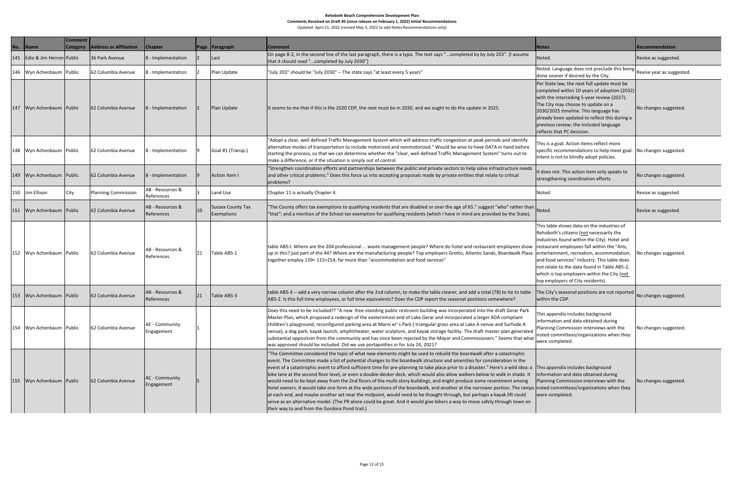| No. | <b>Name</b>                  | <b>Comment</b><br><b>Category</b> | <b>Address or Affiliation</b> | <b>Chapter</b>                      | Page   Paragraph                | <b>Comment</b>                                                                                                                                                                                                                                                                                                                                                                                                                                                                                                                                                                                                                                                                                                                                                                                                                                                                                                                                                                                                                                                                                                                  | <b>Notes</b>                                                                                                                                                                                                                                                                                                                                                                                                           | Recommendation            |
|-----|------------------------------|-----------------------------------|-------------------------------|-------------------------------------|---------------------------------|---------------------------------------------------------------------------------------------------------------------------------------------------------------------------------------------------------------------------------------------------------------------------------------------------------------------------------------------------------------------------------------------------------------------------------------------------------------------------------------------------------------------------------------------------------------------------------------------------------------------------------------------------------------------------------------------------------------------------------------------------------------------------------------------------------------------------------------------------------------------------------------------------------------------------------------------------------------------------------------------------------------------------------------------------------------------------------------------------------------------------------|------------------------------------------------------------------------------------------------------------------------------------------------------------------------------------------------------------------------------------------------------------------------------------------------------------------------------------------------------------------------------------------------------------------------|---------------------------|
|     | 145 Edie & Jim Herron Public |                                   | 36 Park Avenue                | 8 - Implementation                  | Last                            | On page 8-2, in the second line of the last paragraph, there is a typo. The text says "completed by by July 203". [I assume<br>[that it should read "completed by July 2030"]                                                                                                                                                                                                                                                                                                                                                                                                                                                                                                                                                                                                                                                                                                                                                                                                                                                                                                                                                   | Noted.                                                                                                                                                                                                                                                                                                                                                                                                                 | Revise as suggested.      |
|     | 146   Wyn Achenbaum   Public |                                   | 62 Columbia Avenue            | - Implementation                    | Plan Update                     | "July 203" should be "July 2030" -- The state says "at least every 5 years"                                                                                                                                                                                                                                                                                                                                                                                                                                                                                                                                                                                                                                                                                                                                                                                                                                                                                                                                                                                                                                                     | Noted. Language does not preclude this being<br>done sooner if desired by the City.                                                                                                                                                                                                                                                                                                                                    | Revise year as suggested. |
|     | 147   Wyn Achenbaum   Public |                                   | 62 Columbia Avenue            | - Implementation                    | Plan Update                     | It seems to me that if this is the 2020 CDP, the next must be in 2030, and we ought to do the update in 2025.                                                                                                                                                                                                                                                                                                                                                                                                                                                                                                                                                                                                                                                                                                                                                                                                                                                                                                                                                                                                                   | Per State law, the next full update must be<br>completed within 10 years of adoption (2032)<br>with the interceding 5-year review (2027).<br>The City may choose to update on a<br>2030/2025 timeline. This language has<br>already been updated to reflect this during a<br>previous review; the included language<br>reflects that PC decision.                                                                      | No changes suggested      |
|     | 148   Wyn Achenbaum   Public |                                   | 62 Columbia Avenue            | - Implementation                    | Goal #1 (Transp.)               | "Adopt a clear, well defined Traffic Management System which will address traffic congestion at peak periods and identify<br>alternative modes of transportation to include motorized and nonmotorized." Would be wise to have DATA in hand before<br>starting the process, so that we can determine whether the "clear, well defined Traffic Management System" turns out to<br>make a difference, or if the situation is simply out of control.                                                                                                                                                                                                                                                                                                                                                                                                                                                                                                                                                                                                                                                                               | This is a goal. Action items reflect more<br>specific recommendations to help meet goal.   No changes suggested.<br>Intent is not to blindly adopt policies.                                                                                                                                                                                                                                                           |                           |
|     | 149   Wyn Achenbaum   Public |                                   | 62 Columbia Avenue            | - Implementation                    | Action Item I                   | "Strengthen coordination efforts and partnerships between the public and private sectors to help solve infrastructure needs<br>and other critical problems." Does this force us into accepting proposals made by private entities that relate to critical<br>problems?                                                                                                                                                                                                                                                                                                                                                                                                                                                                                                                                                                                                                                                                                                                                                                                                                                                          | It does not. This action item only speaks to<br>strengthening coordination efforts.                                                                                                                                                                                                                                                                                                                                    | No changes suggested.     |
| 150 | Jim Ellison                  | City                              | <b>Planning Commission</b>    | AB - Resources &<br>References      | Land Use                        | Chapter 11 is actually Chapter 4.                                                                                                                                                                                                                                                                                                                                                                                                                                                                                                                                                                                                                                                                                                                                                                                                                                                                                                                                                                                                                                                                                               | Noted.                                                                                                                                                                                                                                                                                                                                                                                                                 | Revise as suggested.      |
|     | 151   Wyn Achenbaum   Public |                                   | 62 Columbia Avenue            | AB - Resources &<br>References      | Sussex County Tax<br>Exemptions | "The County offers tax exemptions to qualifying residents that are disabled or over the age of 65." suggest "who" rather than Noted.<br>"that"; and a mention of the School tax exemption for qualifying residents (which I have in mind are provided by the State).                                                                                                                                                                                                                                                                                                                                                                                                                                                                                                                                                                                                                                                                                                                                                                                                                                                            |                                                                                                                                                                                                                                                                                                                                                                                                                        | Revise as suggested.      |
|     | 152   Wyn Achenbaum   Public |                                   | 62 Columbia Avenue            | AB - Resources &<br>References      | Table AB5-1                     | table AB5-I. Where are the 204 professional  waste management people? Where do hotel and restaurant employees show<br>up in this? just part of the 44? Where are the manufacturing people? Top employers Grotto, Atlantic Sands, Boardwalk Plaza<br>together employ 139+ 115=254, far more than "accommodation and food services"                                                                                                                                                                                                                                                                                                                                                                                                                                                                                                                                                                                                                                                                                                                                                                                               | This table shows data on the industries of<br>Rehoboth's citizens (not necessarily the<br>industries found within the City). Hotel and<br>restaurant employees fall within the "Arts,<br>entertainment, recreation, accommodation,<br>and food services" industry. This table does<br>not relate to the data found in Table AB5-2,<br>which is top employers within the City (not<br>top employers of City residents). | No changes suggested.     |
|     | 153   Wyn Achenbaum   Public |                                   | 62 Columbia Avenue            | AB - Resources &<br>References      | Table AB5-3                     | table AB5-3 -- add a very narrow column after the 2nd column, to make the table clearer, and add a total (78) to tie to table<br>[AB5-2. Is this full time employees, or full time equivalents? Does the CDP report the seasonal positions somewhere?                                                                                                                                                                                                                                                                                                                                                                                                                                                                                                                                                                                                                                                                                                                                                                                                                                                                           | The City's seasonal positions are not reported No changes suggested.<br>within the CDP.                                                                                                                                                                                                                                                                                                                                |                           |
|     | 154   Wyn Achenbaum   Public |                                   | 62 Columbia Avenue            | <b>AC</b> - Community<br>Engagement |                                 | Does this need to be included?? "A new :free-standing public restroom building was incorporated into the draft Gerar Park<br>Master Plan, which proposed a redesign of the easternmost end of Lake Gerar and incorporated a larger ADA compliant<br>children's playground, reconfigured parking area at Marni er's Park (triangular grass area at Lake A venue and Surfside A<br>venue), a dog park, kayak launch, amphitheater, water sculpture, and kayak storage facility. The draft master plan generated<br>substantial opposition from the community and has since been rejected by the Mayor and Commissioners." Seems that what<br>was approved should be included. Did we use portapotties in for July 24, 2021?                                                                                                                                                                                                                                                                                                                                                                                                       | This appendix includes background<br>information and data obtained during<br>Planning Commission interviews with the<br>noted committees/organizations when they<br>were completed.                                                                                                                                                                                                                                    | No changes suggested.     |
|     | 155   Wyn Achenbaum   Public |                                   | 62 Columbia Avenue            | AC - Community<br>Engagement        |                                 | "The Committee considered the topic of what new elements might be used to rebuild the boardwalk after a catastrophic<br>event. The Committee made a list of potential changes to the boardwalk structure and amenities for consideration in the<br>levent of a catastrophic event to afford sufficient time for pre-planning to take place prior to a disaster." Here's a wild idea: a<br>bike lane at the second floor level, or even a double-decker deck, which would also allow walkers below to walk in shade. It<br>would need to be kept away from the 2nd floors of the multi-story buildings, and might produce some resentment among<br>hotel owners. It would take one form at the wide portions of the boardwalk, and another at the narrower portion. The ramps noted committees/organizations when they<br>at each end, and maybe another set near the midpoint, would need to be thought through, but perhaps a kayak lift could<br>serve as an alternative model. (The PR alone could be great. And it would give bikers a way to move safely through town on<br>their way to and from the Gordons Pond trail.) | This appendix includes background<br>information and data obtained during<br>Planning Commission interviews with the<br>were completed.                                                                                                                                                                                                                                                                                | No changes suggested.     |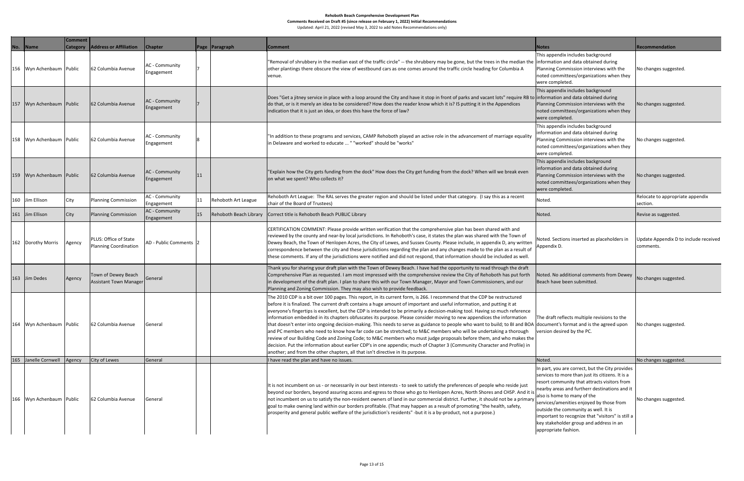**Comments Received on Draft #5 (since release on February 1, 2022) Initial Recommendations**

| No. Name                     | <b>Comment</b><br><b>Category</b> | <b>Address or Affiliation</b>                        | <b>Chapter</b>               | <b>Page Paragraph</b>  | Comment                                                                                                                                                                                                                                                                                                                                                                                                                                                                                                                                                                                                                                                                                                                                                                                                                                                                                                                                                                                                                                                                                                                                        | <b>Notes</b>                                                                                                                                                                                                                                                                                                                                                                                                                                    | Recommendation                                     |
|------------------------------|-----------------------------------|------------------------------------------------------|------------------------------|------------------------|------------------------------------------------------------------------------------------------------------------------------------------------------------------------------------------------------------------------------------------------------------------------------------------------------------------------------------------------------------------------------------------------------------------------------------------------------------------------------------------------------------------------------------------------------------------------------------------------------------------------------------------------------------------------------------------------------------------------------------------------------------------------------------------------------------------------------------------------------------------------------------------------------------------------------------------------------------------------------------------------------------------------------------------------------------------------------------------------------------------------------------------------|-------------------------------------------------------------------------------------------------------------------------------------------------------------------------------------------------------------------------------------------------------------------------------------------------------------------------------------------------------------------------------------------------------------------------------------------------|----------------------------------------------------|
| 156   Wyn Achenbaum   Public |                                   | 62 Columbia Avenue                                   | AC - Community<br>Engagement |                        | "Removal of shrubbery in the median east of the traffic circle" -- the shrubbery may be gone, but the trees in the median the $ $<br>other plantings there obscure the view of westbound cars as one comes around the traffic circle heading for Columbia A<br>venue.                                                                                                                                                                                                                                                                                                                                                                                                                                                                                                                                                                                                                                                                                                                                                                                                                                                                          | This appendix includes background<br>information and data obtained during<br>Planning Commission interviews with the<br>noted committees/organizations when they<br>were completed.                                                                                                                                                                                                                                                             | No changes suggested.                              |
| 157 Wyn Achenbaum Public     |                                   | 62 Columbia Avenue                                   | AC - Community<br>Engagement |                        | Does "Get a jitney service in place with a loop around the City and have it stop in front of parks and vacant lots" require RB to information and data obtained during<br>do that, or is it merely an idea to be considered? How does the reader know which it is? IS putting it in the Appendices<br>lindication that it is just an idea, or does this have the force of law?                                                                                                                                                                                                                                                                                                                                                                                                                                                                                                                                                                                                                                                                                                                                                                 | This appendix includes background<br>Planning Commission interviews with the<br>noted committees/organizations when they<br>were completed.                                                                                                                                                                                                                                                                                                     | No changes suggested.                              |
| 158   Wyn Achenbaum   Public |                                   | 62 Columbia Avenue                                   | AC - Community<br>Engagement |                        | "In addition to these programs and services, CAMP Rehoboth played an active role in the advancement of marriage equality<br>In Delaware and worked to educate  " "worked" should be "works"                                                                                                                                                                                                                                                                                                                                                                                                                                                                                                                                                                                                                                                                                                                                                                                                                                                                                                                                                    | This appendix includes background<br>information and data obtained during<br>Planning Commission interviews with the<br>noted committees/organizations when they<br>were completed.                                                                                                                                                                                                                                                             | No changes suggested.                              |
| 159 Wyn Achenbaum Public     |                                   | 62 Columbia Avenue                                   | AC - Community<br>Engagement |                        | "Explain how the City gets funding from the dock" How does the City get funding from the dock? When will we break even<br>on what we spent? Who collects it?                                                                                                                                                                                                                                                                                                                                                                                                                                                                                                                                                                                                                                                                                                                                                                                                                                                                                                                                                                                   | This appendix includes background<br>information and data obtained during<br>Planning Commission interviews with the<br>noted committees/organizations when they<br>were completed.                                                                                                                                                                                                                                                             | No changes suggested.                              |
| 160 Jim Ellison              | City                              | <b>Planning Commission</b>                           | AC - Community<br>Engagement | Rehoboth Art League    | Rehoboth Art League: The RAL serves the greater region and should be listed under that category. (I say this as a recent<br>chair of the Board of Trustees)                                                                                                                                                                                                                                                                                                                                                                                                                                                                                                                                                                                                                                                                                                                                                                                                                                                                                                                                                                                    | Noted.                                                                                                                                                                                                                                                                                                                                                                                                                                          | Relocate to appropriate appendix<br>section        |
| 161 Jim Ellison              | City                              | Planning Commission                                  | AC - Community<br>Engagement | Rehoboth Beach Library | Correct title is Rehoboth Beach PUBLIC Library                                                                                                                                                                                                                                                                                                                                                                                                                                                                                                                                                                                                                                                                                                                                                                                                                                                                                                                                                                                                                                                                                                 | Noted                                                                                                                                                                                                                                                                                                                                                                                                                                           | Revise as suggested.                               |
| 162 Dorothy Morris           | Agency                            | PLUS: Office of State<br>Planning Coordination       | AD - Public Comments 2       |                        | CERTIFICATION COMMENT: Please provide written verification that the comprehensive plan has been shared with and<br>reviewed by the county and near-by local jurisdictions. In Rehoboth's case, it states the plan was shared with the Town of<br>Dewey Beach, the Town of Henlopen Acres, the City of Lewes, and Sussex County. Please include, in appendix D, any written<br>correspondence between the city and these jurisdictions regarding the plan and any changes made to the plan as a result of<br>these comments. If any of the jurisdictions were notified and did not respond, that information should be included as well.                                                                                                                                                                                                                                                                                                                                                                                                                                                                                                        | Noted. Sections inserted as placeholders in<br>Appendix D.                                                                                                                                                                                                                                                                                                                                                                                      | Update Appendix D to include received<br>comments. |
| 163 Jim Dedes                | Agency                            | Town of Dewey Beach<br><b>Assistant Town Manager</b> | General                      |                        | Thank you for sharing your draft plan with the Town of Dewey Beach. I have had the opportunity to read through the draft<br>Comprehensive Plan as requested. I am most impressed with the comprehensive review the City of Rehoboth has put forth<br>in development of the draft plan. I plan to share this with our Town Manager, Mayor and Town Commissioners, and our<br>Planning and Zoning Commission. They may also wish to provide feedback.                                                                                                                                                                                                                                                                                                                                                                                                                                                                                                                                                                                                                                                                                            | Noted. No additional comments from Dewey<br>Beach have been submitted.                                                                                                                                                                                                                                                                                                                                                                          | No changes suggested.                              |
| 164   Wyn Achenbaum   Public |                                   | 62 Columbia Avenue                                   | General                      |                        | The 2010 CDP is a bit over 100 pages. This report, in its current form, is 266. I recommend that the CDP be restructured<br>before it is finalized. The current draft contains a huge amount of important and useful information, and putting it at<br>everyone's fingertips is excellent, but the CDP is intended to be primarily a decision-making tool. Having so much reference<br>information embedded in its chapters obfuscates its purpose. Please consider moving to new appendices the information<br>that doesn't enter into ongoing decision-making. This needs to serve as guidance to people who want to build; to BI and BOA document's format and is the agreed upon<br>and PC members who need to know how far code can be stretched; to M&C members who will be undertaking a thorough<br>review of our Building Code and Zoning Code; to M&C members who must judge proposals before them, and who makes the<br>decision. Put the information about earlier CDP's in one appendix; much of Chapter 3 (Community Character and Profile) in<br>another; and from the other chapters, all that isn't directive in its purpose. | The draft reflects multiple revisions to the<br>version desired by the PC.                                                                                                                                                                                                                                                                                                                                                                      | No changes suggested.                              |
| 165 Janelle Cornwell         | Agency                            | City of Lewes                                        | General                      |                        | I have read the plan and have no issues.                                                                                                                                                                                                                                                                                                                                                                                                                                                                                                                                                                                                                                                                                                                                                                                                                                                                                                                                                                                                                                                                                                       | Noted.                                                                                                                                                                                                                                                                                                                                                                                                                                          | No changes suggested.                              |
| 166   Wyn Achenbaum   Public |                                   | 62 Columbia Avenue                                   | General                      |                        | It is not incumbent on us - or necessarily in our best interests - to seek to satisfy the preferences of people who reside just<br> beyond our borders, beyond assuring access and egress to those who go to Henlopen Acres, North Shores and CHSP. And it is<br>not incumbent on us to satisfy the non-resident owners of land in our commercial district. Further, it should not be a primary<br>goal to make owning land within our borders profitable. (That may happen as a result of promoting "the health, safety,<br>prosperity and general public welfare of the jurisdiction's residents" -but it is a by-product, not a purpose.)                                                                                                                                                                                                                                                                                                                                                                                                                                                                                                   | In part, you are correct, but the City provides<br>services to more than just its citizens. It is a<br>resort community that attracts visitors from<br>nearby areas and furtherr destinations and it<br>also is home to many of the<br>services/amenities enjoyed by those from<br>outside the community as well. It is<br>important to recognize that "visitors" is still a<br>key stakeholder group and address in an<br>appropriate fashion. | No changes suggested.                              |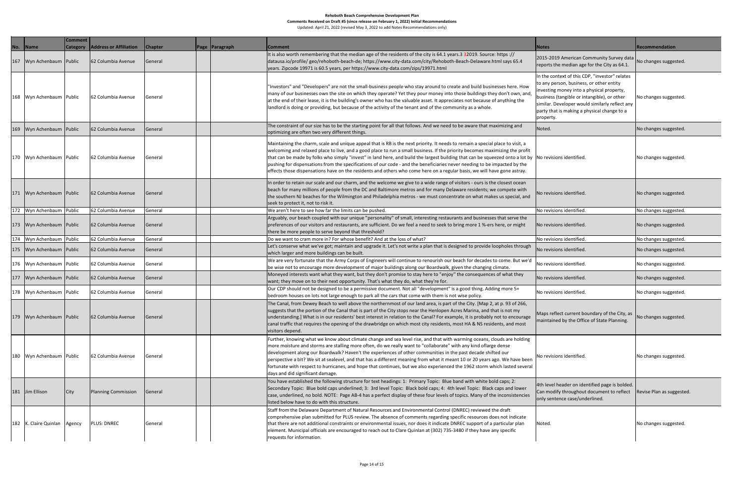**Comments Received on Draft #5 (since release on February 1, 2022) Initial Recommendations**

| No. | Name                             | <b>Comment</b><br><b>Category</b> | <b>Address or Affiliation</b> | <b>Chapter</b> | Page   Paragraph | <b>Comment</b>                                                                                                                                                                                                                                                                                                                                                                                                                                                                                                                                                                                                                                               | <b>Notes</b>                                                                                                                                                                                                                                                                                         | Recommendation            |
|-----|----------------------------------|-----------------------------------|-------------------------------|----------------|------------------|--------------------------------------------------------------------------------------------------------------------------------------------------------------------------------------------------------------------------------------------------------------------------------------------------------------------------------------------------------------------------------------------------------------------------------------------------------------------------------------------------------------------------------------------------------------------------------------------------------------------------------------------------------------|------------------------------------------------------------------------------------------------------------------------------------------------------------------------------------------------------------------------------------------------------------------------------------------------------|---------------------------|
| 167 | Wyn Achenbaum Public             |                                   | 62 Columbia Avenue            | General        |                  | It is also worth remembering that the median age of the residents of the city is 64.1 years.3 32019. Source: https://<br>datausa.io/profile/ geo/rehoboth-beach-de; https://www.city-data.com/city/Rehoboth-Beach-Delaware.html says 65.4<br>years. Zipcode 19971 is 60.5 years, per https://www.city-data.com/zips/19971.html                                                                                                                                                                                                                                                                                                                               | 2015-2019 American Community Survey data No changes suggested.<br>reports the median age for the City as 64.1.                                                                                                                                                                                       |                           |
|     | 168 Wyn Achenbaum Public         |                                   | 62 Columbia Avenue            | General        |                  | "Investors" and "Developers" are not the small-business people who stay around to create and build businesses here. How<br>many of our businesses own the site on which they operate? Yet they pour money into those buildings they don't own, and,<br>at the end of their lease, it is the building's owner who has the valuable asset. It appreciates not because of anything the<br>landlord is doing or providing, but because of the activity of the tenant and of the community as a whole.                                                                                                                                                            | In the context of this CDP, "investor" relates<br>to any person, business, or other entity<br>investing money into a physical property,<br>business (tangible or intangible), or other<br>similar. Developer would similarly reflect any<br>party that is making a physical change to a<br>property. | No changes suggested      |
|     | 169   Wyn Achenbaum   Public     |                                   | 62 Columbia Avenue            | General        |                  | The constraint of our size has to be the starting point for all that follows. And we need to be aware that maximizing and<br>optimizing are often two very different things.                                                                                                                                                                                                                                                                                                                                                                                                                                                                                 | Noted.                                                                                                                                                                                                                                                                                               | No changes suggested.     |
|     | 170   Wyn Achenbaum   Public     |                                   | 62 Columbia Avenue            | General        |                  | Maintaining the charm, scale and unique appeal that is RB is the next priority. It needs to remain a special place to visit, a<br>welcoming and relaxed place to live, and a good place to run a small business. If the priority becomes maximizing the profit<br>that can be made by folks who simply "invest" in land here, and build the largest building that can be squeezed onto a lot by<br>pushing for dispensations from the specifications of our code - and the beneficiaries never needing to be impacted by the<br>effects those dispensations have on the residents and others who come here on a regular basis, we will have gone astray.     | No revisions identified.                                                                                                                                                                                                                                                                             | No changes suggested      |
|     | 171 Wyn Achenbaum Public         |                                   | 62 Columbia Avenue            | General        |                  | In order to retain our scale and our charm, and the welcome we give to a wide range of visitors - ours is the closest ocean<br>beach for many millions of people from the DC and Baltimore metros and for many Delaware residents; we compete with<br>the southern NJ beaches for the Wilmington and Philadelphia metros - we must concentrate on what makes us special, and<br>seek to protect it, not to risk it.                                                                                                                                                                                                                                          | No revisions identified.                                                                                                                                                                                                                                                                             | No changes suggested.     |
|     | 172   Wyn Achenbaum   Public     |                                   | 62 Columbia Avenue            | General        |                  | We aren't here to see how far the limits can be pushed.                                                                                                                                                                                                                                                                                                                                                                                                                                                                                                                                                                                                      | No revisions identified                                                                                                                                                                                                                                                                              | No changes suggested      |
|     | 173   Wyn Achenbaum   Public     |                                   | 62 Columbia Avenue            | General        |                  | Arguably, our beach coupled with our unique "personality" of small, interesting restaurants and businesses that serve the<br>preferences of our visitors and restaurants, are sufficient. Do we feel a need to seek to bring more 1 %-ers here, or might<br>there be more people to serve beyond that threshold?                                                                                                                                                                                                                                                                                                                                             | No revisions identified.                                                                                                                                                                                                                                                                             | No changes suggested.     |
| 174 | Wyn Achenbaum Public             |                                   | 62 Columbia Avenue            | General        |                  | Do we want to cram more in? For whose benefit? And at the loss of what?                                                                                                                                                                                                                                                                                                                                                                                                                                                                                                                                                                                      | No revisions identified.                                                                                                                                                                                                                                                                             | No changes suggested      |
|     | 175 Wyn Achenbaum Public         |                                   | 62 Columbia Avenue            | General        |                  | Let's conserve what we've got; maintain and upgrade it. Let's not write a plan that is designed to provide loopholes through<br>which larger and more buildings can be built.                                                                                                                                                                                                                                                                                                                                                                                                                                                                                | No revisions identified.                                                                                                                                                                                                                                                                             | No changes suggested.     |
|     | 176   Wyn Achenbaum   Public     |                                   | 62 Columbia Avenue            | General        |                  | We are very fortunate that the Army Corps of Engineers will continue to renourish our beach for decades to come. But we'd<br>be wise not to encourage more development of major buildings along our Boardwalk, given the changing climate.                                                                                                                                                                                                                                                                                                                                                                                                                   | No revisions identified.                                                                                                                                                                                                                                                                             | No changes suggested.     |
|     | 177   Wyn Achenbaum   Public     |                                   | 62 Columbia Avenue            | General        |                  | Moneyed interests want what they want, but they don't promise to stay here to "enjoy" the consequences of what they<br>want; they move on to their next opportunity. That's what they do, what they're for.                                                                                                                                                                                                                                                                                                                                                                                                                                                  | No revisions identified.                                                                                                                                                                                                                                                                             | No changes suggested.     |
|     | 178   Wyn Achenbaum   Public     |                                   | 62 Columbia Avenue            | General        |                  | Our CDP should not be designed to be a permissive document. Not all "development" is a good thing. Adding more 5+<br>bedroom houses on lots not large enough to park all the cars that come with them is not wise policy.                                                                                                                                                                                                                                                                                                                                                                                                                                    | No revisions identified.                                                                                                                                                                                                                                                                             | No changes suggested.     |
|     | 179   Wyn Achenbaum   Public     |                                   | 62 Columbia Avenue            | General        |                  | The Canal, from Dewey Beach to well above the northernmost of our land area, is part of the City. [Map 2, at p. 93 of 266,<br>suggests that the portion of the Canal that is part of the City stops near the Henlopen Acres Marina, and that is not my<br>understanding.] What is in our residents' best interest in relation to the Canal? For example, it is probably not to encourage<br>canal traffic that requires the opening of the drawbridge on which most city residents, most HA & NS residents, and most<br>visitors depend.                                                                                                                     | Maps reflect current boundary of the City, as  <br>maintained by the Office of State Planning.                                                                                                                                                                                                       | No changes suggested.     |
|     | 180   Wyn Achenbaum   Public     |                                   | 62 Columbia Avenue            | General        |                  | Further, knowing what we know about climate change and sea level rise, and that with warming oceans, clouds are holding<br>more moisture and storms are stalling more often, do we really want to "collaborate" with any kind oflarge dense<br>development along our Boardwalk? Haven't the experiences of other communities in the past decade shifted our<br>perspective a bit? We sit at sealevel, and that has a different meaning from what it meant 10 or 20 years ago. We have been<br>fortunate with respect to hurricanes, and hope that continues, but we also experienced the 1962 storm which lasted several<br>days and did significant damage. | No revisions identified.                                                                                                                                                                                                                                                                             | No changes suggested      |
| 181 | <b>City</b><br>Jim Ellison       |                                   | Planning Commission           | General        |                  | You have established the following structure for text headings: 1: Primary Topic: Blue band with white bold caps; 2:<br>Secondary Topic: Blue bold caps underlined; 3: 3rd level Topic: Black bold caps; 4: 4th level Topic: Black caps and lower<br>case, underlined, no bold. NOTE: Page AB-4 has a perfect display of these four levels of topics. Many of the inconsistencies<br>listed below have to do with this structure.                                                                                                                                                                                                                            | 4th level header on identified page is bolded.<br>Can modify throughout document to reflect<br>only sentence case/underlined.                                                                                                                                                                        | Revise Plan as suggested. |
|     | 182   K. Claire Quinlan   Agency |                                   | <b>PLUS: DNREC</b>            | General        |                  | Staff from the Delaware Department of Natural Resources and Environmental Control (DNREC) reviewed the draft<br>comprehensive plan submitted for PLUS review. The absence of comments regarding specific resources does not indicate<br>that there are not additional constraints or environmental issues, nor does it indicate DNREC support of a particular plan<br>element. Municipal officials are encouraged to reach out to Clare Quinlan at (302) 735-3480 if they have any specific<br>requests for information.                                                                                                                                     | Noted.                                                                                                                                                                                                                                                                                               | No changes suggested      |